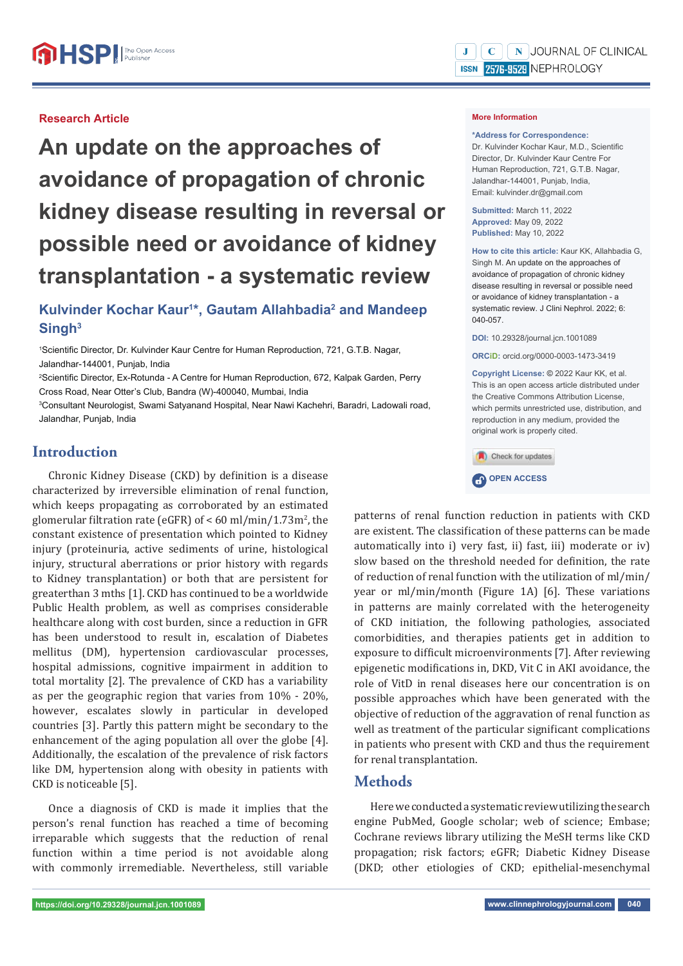### **Research Article**

**An update on the approaches of avoidance of propagation of chronic kidney disease resulting in reversal or possible need or avoidance of kidney transplantation - a systematic review**

# **Kulvinder Kochar Kaur1 \*, Gautam Allahbadia2 and Mandeep Singh3**

<sup>1</sup>Scientific Director, Dr. Kulvinder Kaur Centre for Human Reproduction, 721, G.T.B. Nagar, Jalandhar-144001, Punjab, India

<sup>2</sup>Scientific Director, Ex-Rotunda - A Centre for Human Reproduction, 672, Kalpak Garden, Perry Cross Road, Near Otter's Club, Bandra (W)-400040, Mumbai, India

3 Consultant Neurologist, Swami Satyanand Hospital, Near Nawi Kachehri, Baradri, Ladowali road, Jalandhar, Punjab, India

# **Introduction**

Chronic Kidney Disease (CKD) by definition is a disease characterized by irreversible elimination of renal function, which keeps propagating as corroborated by an estimated glomerular filtration rate (eGFR) of  $<$  60 ml/min/1.73m<sup>2</sup>, the constant existence of presentation which pointed to Kidney injury (proteinuria, active sediments of urine, histological injury, structural aberrations or prior history with regards to Kidney transplantation) or both that are persistent for greaterthan 3 mths [1]. CKD has continued to be a worldwide Public Health problem, as well as comprises considerable healthcare along with cost burden, since a reduction in GFR has been understood to result in, escalation of Diabetes mellitus (DM), hypertension cardiovascular processes, hospital admissions, cognitive impairment in addition to total mortality [2]. The prevalence of CKD has a variability as per the geographic region that varies from 10% - 20%, however, escalates slowly in particular in developed countries [3]. Partly this pattern might be secondary to the enhancement of the aging population all over the globe [4]. Additionally, the escalation of the prevalence of risk factors like DM, hypertension along with obesity in patients with CKD is noticeable [5].

Once a diagnosis of CKD is made it implies that the person's renal function has reached a time of becoming irreparable which suggests that the reduction of renal function within a time period is not avoidable along with commonly irremediable. Nevertheless, still variable

#### **More Information**

#### **\*Address for Correspondence:**

Dr. Kulvinder Kochar Kaur, M.D., Scientific Director, Dr. Kulvinder Kaur Centre For Human Reproduction, 721, G.T.B. Nagar, Jalandhar-144001, Punjab, India, Email: kulvinder.dr@gmail.com

**Submitted:** March 11, 2022 **Approved:** May 09, 2022 **Published:** May 10, 2022

**How to cite this article:** Kaur KK, Allahbadia G, Singh M. An update on the approaches of avoidance of propagation of chronic kidney disease resulting in reversal or possible need or avoidance of kidney transplantation - a systematic review. J Clini Nephrol. 2022; 6: 040-057.

**DOI:** 10.29328/journal.jcn.1001089

**ORCiD:** orcid.org/0000-0003-1473-3419

**Copyright License: ©** 2022 Kaur KK, et al. This is an open access article distributed under the Creative Commons Attribution License, which permits unrestricted use, distribution, and reproduction in any medium, provided the original work is properly cited.

(A) Check for updates



patterns of renal function reduction in patients with CKD are existent. The classification of these patterns can be made automatically into i) very fast, ii) fast, iii) moderate or iv) slow based on the threshold needed for definition, the rate of reduction of renal function with the utilization of ml/min/ year or ml/min/month (Figure 1A) [6]. These variations in patterns are mainly correlated with the heterogeneity of CKD initiation, the following pathologies, associated comorbidities, and therapies patients get in addition to exposure to difficult microenvironments [7]. After reviewing epigenetic modifications in, DKD, Vit C in AKI avoidance, the role of VitD in renal diseases here our concentration is on possible approaches which have been generated with the objective of reduction of the aggravation of renal function as well as treatment of the particular significant complications in patients who present with CKD and thus the requirement for renal transplantation.

## **Methods**

Here we conducted a systematic review utilizing the search engine PubMed, Google scholar; web of science; Embase; Cochrane reviews library utilizing the MeSH terms like CKD propagation; risk factors; eGFR; Diabetic Kidney Disease (DKD; other etiologies of CKD; epithelial-mesenchymal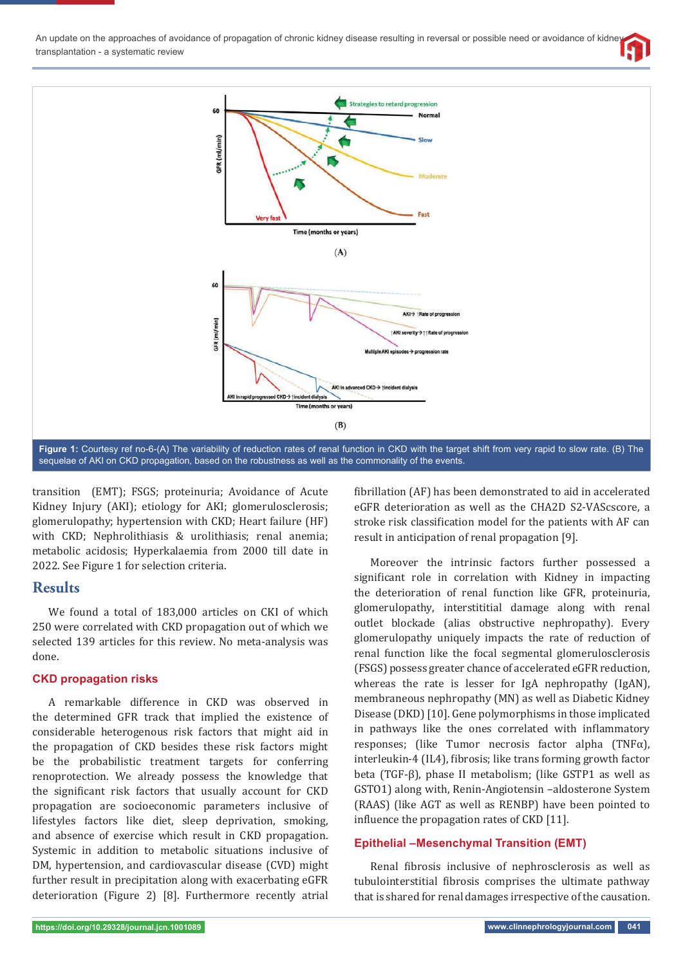



transition (EMT); FSGS; proteinuria; Avoidance of Acute Kidney Injury (AKI); etiology for AKI; glomerulosclerosis; glomerulopathy; hypertension with CKD; Heart failure (HF) with CKD; Nephrolithiasis & urolithiasis; renal anemia; metabolic acidosis; Hyperkalaemia from 2000 till date in 2022. See Figure 1 for selection criteria.

## **Results**

We found a total of 183,000 articles on CKI of which 250 were correlated with CKD propagation out of which we selected 139 articles for this review. No meta-analysis was done.

### **CKD propagation risks**

A remarkable difference in CKD was observed in the determined GFR track that implied the existence of considerable heterogenous risk factors that might aid in the propagation of CKD besides these risk factors might be the probabilistic treatment targets for conferring renoprotection. We already possess the knowledge that the significant risk factors that usually account for CKD propagation are socioeconomic parameters inclusive of lifestyles factors like diet, sleep deprivation, smoking, and absence of exercise which result in CKD propagation. Systemic in addition to metabolic situations inclusive of DM, hypertension, and cardiovascular disease (CVD) might further result in precipitation along with exacerbating eGFR deterioration (Figure 2) [8]. Furthermore recently atrial

fibrillation (AF) has been demonstrated to aid in accelerated eGFR deterioration as well as the CHA2D S2-VAScscore, a stroke risk classification model for the patients with AF can result in anticipation of renal propagation [9].

Moreover the intrinsic factors further possessed a significant role in correlation with Kidney in impacting the deterioration of renal function like GFR, proteinuria, glomerulopathy, interstititial damage along with renal outlet blockade (alias obstructive nephropathy). Every glomerulopathy uniquely impacts the rate of reduction of renal function like the focal segmental glomerulosclerosis (FSGS) possess greater chance of accelerated eGFR reduction, whereas the rate is lesser for IgA nephropathy (IgAN), membraneous nephropathy (MN) as well as Diabetic Kidney Disease (DKD) [10]. Gene polymorphisms in those implicated in pathways like the ones correlated with inflammatory responses; (like Tumor necrosis factor alpha (TNF $\alpha$ ), interleukin-4 (IL4), fibrosis; like trans forming growth factor beta (TGF-β), phase II metabolism; (like GSTP1 as well as GSTO1) along with, Renin-Angiotensin –aldosterone System (RAAS) (like AGT as well as RENBP) have been pointed to influence the propagation rates of CKD [11].

## **Epithelial –Mesenchymal Transition (EMT)**

Renal fibrosis inclusive of nephrosclerosis as well as tubulointerstitial fibrosis comprises the ultimate pathway that is shared for renal damages irrespective of the causation.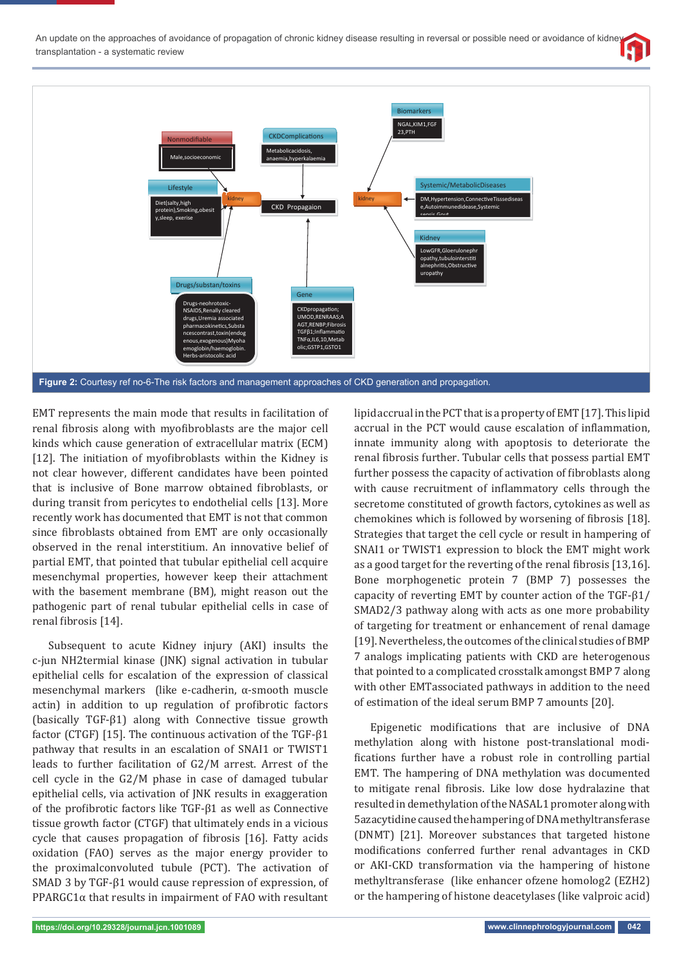



EMT represents the main mode that results in facilitation of renal fibrosis along with myofibroblasts are the major cell kinds which cause generation of extracellular matrix (ECM) [12]. The initiation of myofibroblasts within the Kidney is not clear however, different candidates have been pointed that is inclusive of Bone marrow obtained fibroblasts, or during transit from pericytes to endothelial cells [13]. More recently work has documented that EMT is not that common since fibroblasts obtained from EMT are only occasionally observed in the renal interstitium. An innovative belief of partial EMT, that pointed that tubular epithelial cell acquire mesenchymal properties, however keep their attachment with the basement membrane (BM), might reason out the pathogenic part of renal tubular epithelial cells in case of renal fibrosis [14].

Subsequent to acute Kidney injury (AKI) insults the c-jun NH2termial kinase (JNK) signal activation in tubular epithelial cells for escalation of the expression of classical mesenchymal markers (like e-cadherin, α-smooth muscle actin) in addition to up regulation of profibrotic factors (basically TGF-β1) along with Connective tissue growth factor (CTGF) [15]. The continuous activation of the TGF-β1 pathway that results in an escalation of SNAI1 or TWIST1 leads to further facilitation of G2/M arrest. Arrest of the cell cycle in the G2/M phase in case of damaged tubular epithelial cells, via activation of JNK results in exaggeration of the profibrotic factors like TGF-β1 as well as Connective tissue growth factor (CTGF) that ultimately ends in a vicious cycle that causes propagation of fibrosis [16]. Fatty acids oxidation (FAO) serves as the major energy provider to the proximalconvoluted tubule (PCT). The activation of SMAD 3 by TGF-β1 would cause repression of expression, of PPARGC1 $\alpha$  that results in impairment of FAO with resultant

lipid accrual in the PCT that is a property of EMT [17]. This lipid accrual in the PCT would cause escalation of inflammation, innate immunity along with apoptosis to deteriorate the renal fibrosis further. Tubular cells that possess partial EMT further possess the capacity of activation of fibroblasts along with cause recruitment of inflammatory cells through the secretome constituted of growth factors, cytokines as well as chemokines which is followed by worsening of fibrosis [18]. Strategies that target the cell cycle or result in hampering of SNAI1 or TWIST1 expression to block the EMT might work as a good target for the reverting of the renal fibrosis  $[13,16]$ . Bone morphogenetic protein 7 (BMP 7) possesses the capacity of reverting EMT by counter action of the TGF-β1/ SMAD2/3 pathway along with acts as one more probability of targeting for treatment or enhancement of renal damage [19]. Nevertheless, the outcomes of the clinical studies of BMP 7 analogs implicating patients with CKD are heterogenous that pointed to a complicated crosstalk amongst BMP 7 along with other EMTassociated pathways in addition to the need of estimation of the ideal serum BMP 7 amounts [20].

Epigenetic modifications that are inclusive of DNA methylation along with histone post-translational modifications further have a robust role in controlling partial EMT. The hampering of DNA methylation was documented to mitigate renal fibrosis. Like low dose hydralazine that resulted in demethylation of the NASAL1 promoter along with 5azacytidine caused the hampering of DNA methyltransferase (DNMT) [21]. Moreover substances that targeted histone modifications conferred further renal advantages in CKD or AKI-CKD transformation via the hampering of histone methyltransferase (like enhancer ofzene homolog2 (EZH2) or the hampering of histone deacetylases (like valproic acid)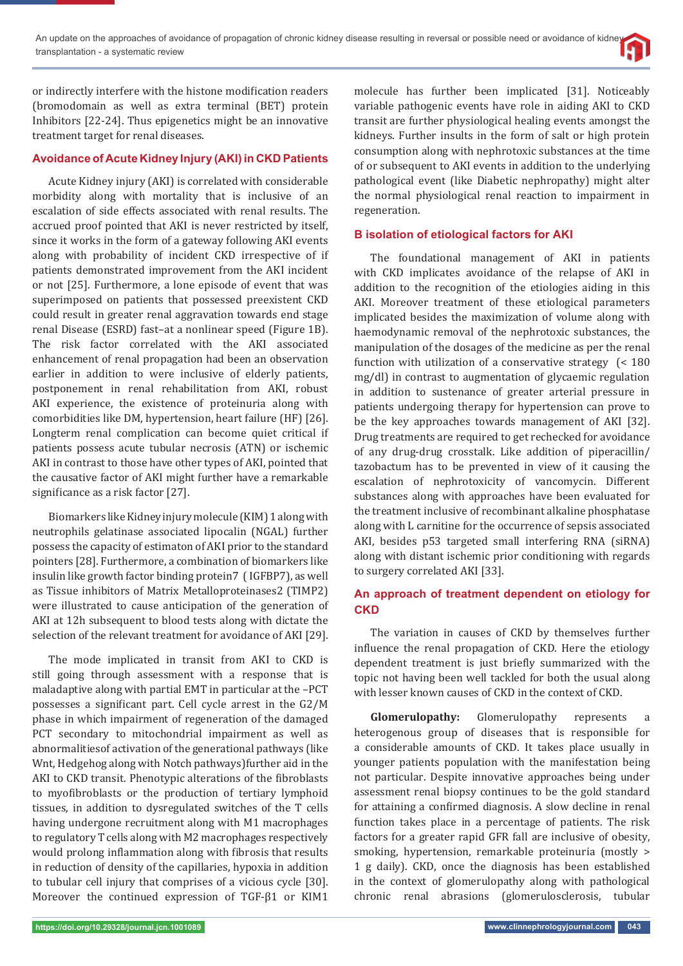or indirectly interfere with the histone modification readers (bromodomain as well as extra terminal (BET) protein Inhibitors [22-24]. Thus epigenetics might be an innovative treatment target for renal diseases.

### **Avoidance of Acute Kidney Injury (AKI) in CKD Patients**

Acute Kidney injury (AKI) is correlated with considerable morbidity along with mortality that is inclusive of an escalation of side effects associated with renal results. The accrued proof pointed that AKI is never restricted by itself, since it works in the form of a gateway following AKI events along with probability of incident CKD irrespective of if patients demonstrated improvement from the AKI incident or not [25]. Furthermore, a lone episode of event that was superimposed on patients that possessed preexistent CKD could result in greater renal aggravation towards end stage renal Disease (ESRD) fast–at a nonlinear speed (Figure 1B). The risk factor correlated with the AKI associated enhancement of renal propagation had been an observation earlier in addition to were inclusive of elderly patients, postponement in renal rehabilitation from AKI, robust AKI experience, the existence of proteinuria along with comorbidities like DM, hypertension, heart failure (HF) [26]. Longterm renal complication can become quiet critical if patients possess acute tubular necrosis (ATN) or ischemic AKI in contrast to those have other types of AKI, pointed that the causative factor of AKI might further have a remarkable significance as a risk factor [27].

Biomarkers like Kidney injury molecule (KIM) 1 along with neutrophils gelatinase associated lipocalin (NGAL) further possess the capacity of estimaton of AKI prior to the standard pointers [28]. Furthermore, a combination of biomarkers like insulin like growth factor binding protein7 ( IGFBP7), as well as Tissue inhibitors of Matrix Metalloproteinases2 (TIMP2) were illustrated to cause anticipation of the generation of AKI at 12h subsequent to blood tests along with dictate the selection of the relevant treatment for avoidance of AKI [29].

The mode implicated in transit from AKI to CKD is still going through assessment with a response that is maladaptive along with partial EMT in particular at the –PCT possesses a significant part. Cell cycle arrest in the G2/M phase in which impairment of regeneration of the damaged PCT secondary to mitochondrial impairment as well as abnormalitiesof activation of the generational pathways (like Wnt, Hedgehog along with Notch pathways)further aid in the AKI to CKD transit. Phenotypic alterations of the fibroblasts to myofibroblasts or the production of tertiary lymphoid tissues, in addition to dysregulated switches of the T cells having undergone recruitment along with M1 macrophages to regulatory T cells along with M2 macrophages respectively would prolong inflammation along with fibrosis that results in reduction of density of the capillaries, hypoxia in addition to tubular cell injury that comprises of a vicious cycle [30]. Moreover the continued expression of TGF-β1 or KIM1

molecule has further been implicated [31]. Noticeably variable pathogenic events have role in aiding AKI to CKD transit are further physiological healing events amongst the kidneys. Further insults in the form of salt or high protein consumption along with nephrotoxic substances at the time of or subsequent to AKI events in addition to the underlying pathological event (like Diabetic nephropathy) might alter the normal physiological renal reaction to impairment in regeneration.

### **B isolation of etiological factors for AKI**

The foundational management of AKI in patients with CKD implicates avoidance of the relapse of AKI in addition to the recognition of the etiologies aiding in this AKI. Moreover treatment of these etiological parameters implicated besides the maximization of volume along with haemodynamic removal of the nephrotoxic substances, the manipulation of the dosages of the medicine as per the renal function with utilization of a conservative strategy (< 180 mg/dl) in contrast to augmentation of glycaemic regulation in addition to sustenance of greater arterial pressure in patients undergoing therapy for hypertension can prove to be the key approaches towards management of AKI [32]. Drug treatments are required to get rechecked for avoidance of any drug-drug crosstalk. Like addition of piperacillin/ tazobactum has to be prevented in view of it causing the escalation of nephrotoxicity of vancomycin. Different substances along with approaches have been evaluated for the treatment inclusive of recombinant alkaline phosphatase along with L carnitine for the occurrence of sepsis associated AKI, besides p53 targeted small interfering RNA (siRNA) along with distant ischemic prior conditioning with regards to surgery correlated AKI [33].

## **An approach of treatment dependent on etiology for CKD**

The variation in causes of CKD by themselves further influence the renal propagation of CKD. Here the etiology dependent treatment is just briefly summarized with the topic not having been well tackled for both the usual along with lesser known causes of CKD in the context of CKD.

**Glomerulopathy:** Glomerulopathy represents a heterogenous group of diseases that is responsible for a considerable amounts of CKD. It takes place usually in younger patients population with the manifestation being not particular. Despite innovative approaches being under assessment renal biopsy continues to be the gold standard for attaining a confirmed diagnosis. A slow decline in renal function takes place in a percentage of patients. The risk factors for a greater rapid GFR fall are inclusive of obesity, smoking, hypertension, remarkable proteinuria (mostly > 1 g daily). CKD, once the diagnosis has been established in the context of glomerulopathy along with pathological chronic renal abrasions (glomerulosclerosis, tubular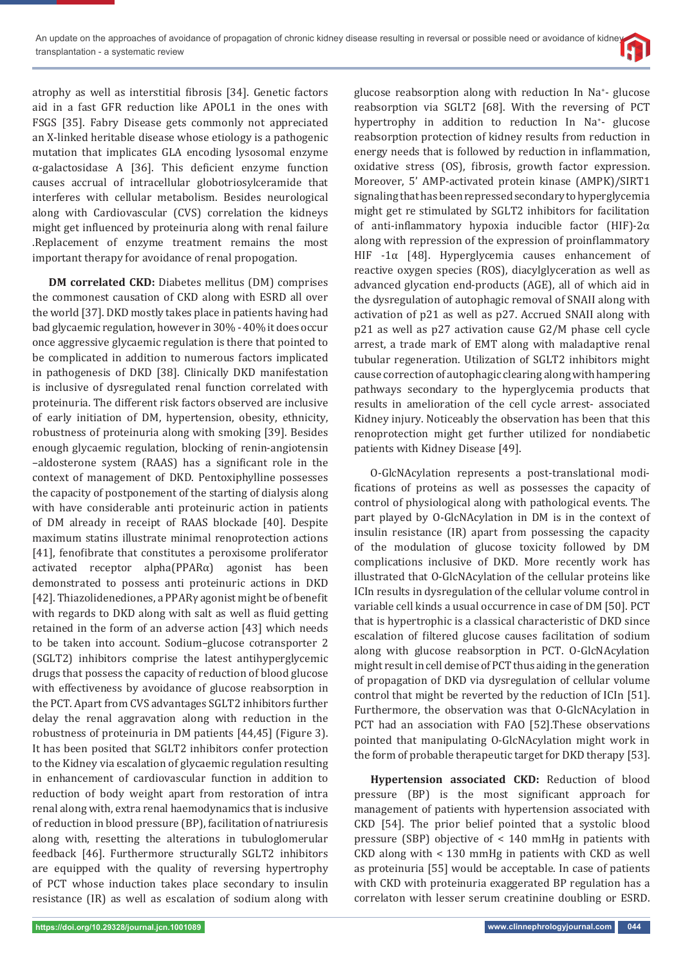atrophy as well as interstitial fibrosis [34]. Genetic factors aid in a fast GFR reduction like APOL1 in the ones with FSGS [35]. Fabry Disease gets commonly not appreciated an X-linked heritable disease whose etiology is a pathogenic mutation that implicates GLA encoding lysosomal enzyme α-galactosidase A [36]. This deficient enzyme function causes accrual of intracellular globotriosylceramide that interferes with cellular metabolism. Besides neurological along with Cardiovascular (CVS) correlation the kidneys might get influenced by proteinuria along with renal failure .Replacement of enzyme treatment remains the most important therapy for avoidance of renal propogation.

**DM correlated CKD:** Diabetes mellitus (DM) comprises the commonest causation of CKD along with ESRD all over the world [37]. DKD mostly takes place in patients having had bad glycaemic regulation, however in 30% - 40% it does occur once aggressive glycaemic regulation is there that pointed to be complicated in addition to numerous factors implicated in pathogenesis of DKD [38]. Clinically DKD manifestation is inclusive of dysregulated renal function correlated with proteinuria. The different risk factors observed are inclusive of early initiation of DM, hypertension, obesity, ethnicity, robustness of proteinuria along with smoking [39]. Besides enough glycaemic regulation, blocking of renin-angiotensin –aldosterone system (RAAS) has a significant role in the context of management of DKD. Pentoxiphylline possesses the capacity of postponement of the starting of dialysis along with have considerable anti proteinuric action in patients of DM already in receipt of RAAS blockade [40]. Despite maximum statins illustrate minimal renoprotection actions [41], fenofibrate that constitutes a peroxisome proliferator activated receptor alpha(PPARα) agonist has been demonstrated to possess anti proteinuric actions in DKD [42]. Thiazolidenediones, a PPARγ agonist might be of benefit with regards to DKD along with salt as well as fluid getting retained in the form of an adverse action [43] which needs to be taken into account. Sodium–glucose cotransporter 2 (SGLT2) inhibitors comprise the latest antihyperglycemic drugs that possess the capacity of reduction of blood glucose with effectiveness by avoidance of glucose reabsorption in the PCT. Apart from CVS advantages SGLT2 inhibitors further delay the renal aggravation along with reduction in the robustness of proteinuria in DM patients [44,45] (Figure 3). It has been posited that SGLT2 inhibitors confer protection to the Kidney via escalation of glycaemic regulation resulting in enhancement of cardiovascular function in addition to reduction of body weight apart from restoration of intra renal along with, extra renal haemodynamics that is inclusive of reduction in blood pressure (BP), facilitation of natriuresis along with, resetting the alterations in tubuloglomerular feedback [46]. Furthermore structurally SGLT2 inhibitors are equipped with the quality of reversing hypertrophy of PCT whose induction takes place secondary to insulin resistance (IR) as well as escalation of sodium along with

glucose reabsorption along with reduction In Na+ - glucose reabsorption via SGLT2 [68]. With the reversing of PCT hypertrophy in addition to reduction In Na<sup>+</sup>- glucose reabsorption protection of kidney results from reduction in energy needs that is followed by reduction in inflammation, oxidative stress (OS), fibrosis, growth factor expression. Moreover, 5' AMP-activated protein kinase (AMPK)/SIRT1 signaling that has been repressed secondary to hyperglycemia might get re stimulated by SGLT2 inhibitors for facilitation of anti-inϐlammatory hypoxia inducible factor (HIF)-2α along with repression of the expression of proinflammatory HIF -1α [48]. Hyperglycemia causes enhancement of reactive oxygen species (ROS), diacylglyceration as well as advanced glycation end-products (AGE), all of which aid in the dysregulation of autophagic removal of SNAII along with activation of p21 as well as p27. Accrued SNAII along with p21 as well as p27 activation cause G2/M phase cell cycle arrest, a trade mark of EMT along with maladaptive renal tubular regeneration. Utilization of SGLT2 inhibitors might cause correction of autophagic clearing along with hampering pathways secondary to the hyperglycemia products that results in amelioration of the cell cycle arrest- associated Kidney injury. Noticeably the observation has been that this renoprotection might get further utilized for nondiabetic patients with Kidney Disease [49].

O-GlcNAcylation represents a post-translational modifications of proteins as well as possesses the capacity of control of physiological along with pathological events. The part played by O-GlcNAcylation in DM is in the context of insulin resistance (IR) apart from possessing the capacity of the modulation of glucose toxicity followed by DM complications inclusive of DKD. More recently work has illustrated that O-GlcNAcylation of the cellular proteins like ICIn results in dysregulation of the cellular volume control in variable cell kinds a usual occurrence in case of DM [50]. PCT that is hypertrophic is a classical characteristic of DKD since escalation of filtered glucose causes facilitation of sodium along with glucose reabsorption in PCT. O-GlcNAcylation might result in cell demise of PCT thus aiding in the generation of propagation of DKD via dysregulation of cellular volume control that might be reverted by the reduction of ICIn [51]. Furthermore, the observation was that O-GlcNAcylation in PCT had an association with FAO [52].These observations pointed that manipulating O-GlcNAcylation might work in the form of probable therapeutic target for DKD therapy [53].

**Hypertension associated CKD:** Reduction of blood pressure (BP) is the most significant approach for management of patients with hypertension associated with CKD [54]. The prior belief pointed that a systolic blood pressure (SBP) objective of < 140 mmHg in patients with CKD along with < 130 mmHg in patients with CKD as well as proteinuria [55] would be acceptable. In case of patients with CKD with proteinuria exaggerated BP regulation has a correlaton with lesser serum creatinine doubling or ESRD.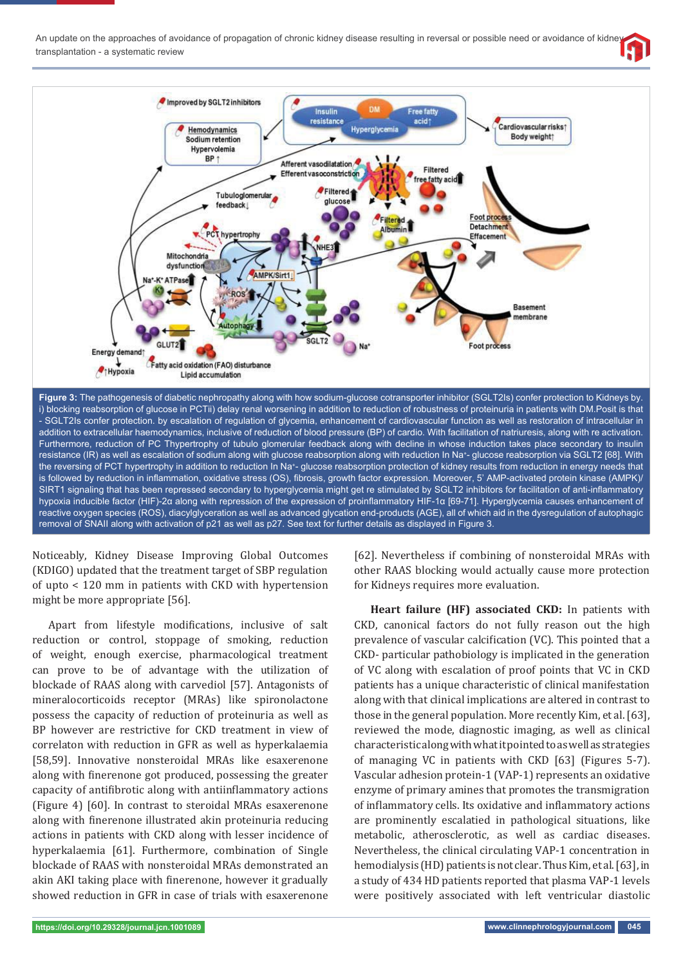

**Figure 3:** The pathogenesis of diabetic nephropathy along with how sodium-glucose cotransporter inhibitor (SGLT2Is) confer protection to Kidneys by. i) blocking reabsorption of glucose in PCTii) delay renal worsening in addition to reduction of robustness of proteinuria in patients with DM.Posit is that - SGLT2Is confer protection. by escalation of regulation of glycemia, enhancement of cardiovascular function as well as restoration of intracellular in addition to extracellular haemodynamics, inclusive of reduction of blood pressure (BP) of cardio. With facilitation of natriuresis, along with re activation. Furthermore, reduction of PC Thypertrophy of tubulo glomerular feedback along with decline in whose induction takes place secondary to insulin resistance (IR) as well as escalation of sodium along with glucose reabsorption along with reduction In Na<sup>+</sup>- glucose reabsorption via SGLT2 [68]. With the reversing of PCT hypertrophy in addition to reduction In Na<sup>+</sup>- glucose reabsorption protection of kidney results from reduction in energy needs that is followed by reduction in inflammation, oxidative stress (OS), fibrosis, growth factor expression. Moreover, 5' AMP-activated protein kinase (AMPK)/ SIRT1 signaling that has been repressed secondary to hyperglycemia might get re stimulated by SGLT2 inhibitors for facilitation of anti-inflammatory hypoxia inducible factor (HIF)-2α along with repression of the expression of proinflammatory HIF-1α [69-71]. Hyperglycemia causes enhancement of reactive oxygen species (ROS), diacylglyceration as well as advanced glycation end-products (AGE), all of which aid in the dysregulation of autophagic removal of SNAII along with activation of p21 as well as p27. See text for further details as displayed in Figure 3.

Noticeably, Kidney Disease Improving Global Outcomes (KDIGO) updated that the treatment target of SBP regulation of upto < 120 mm in patients with CKD with hypertension might be more appropriate [56].

Apart from lifestyle modifications, inclusive of salt reduction or control, stoppage of smoking, reduction of weight, enough exercise, pharmacological treatment can prove to be of advantage with the utilization of blockade of RAAS along with carvediol [57]. Antagonists of mineralocorticoids receptor (MRAs) like spironolactone possess the capacity of reduction of proteinuria as well as BP however are restrictive for CKD treatment in view of correlaton with reduction in GFR as well as hyperkalaemia [58,59]. Innovative nonsteroidal MRAs like esaxerenone along with finerenone got produced, possessing the greater capacity of antifibrotic along with antiinflammatory actions (Figure 4) [60]. In contrast to steroidal MRAs esaxerenone along with finerenone illustrated akin proteinuria reducing actions in patients with CKD along with lesser incidence of hyperkalaemia [61]. Furthermore, combination of Single blockade of RAAS with nonsteroidal MRAs demonstrated an akin AKI taking place with finerenone, however it gradually showed reduction in GFR in case of trials with esaxerenone

[62]. Nevertheless if combining of nonsteroidal MRAs with other RAAS blocking would actually cause more protection for Kidneys requires more evaluation.

**Heart failure (HF) associated CKD:** In patients with CKD, canonical factors do not fully reason out the high prevalence of vascular calcification (VC). This pointed that a CKD- particular pathobiology is implicated in the generation of VC along with escalation of proof points that VC in CKD patients has a unique characteristic of clinical manifestation along with that clinical implications are altered in contrast to those in the general population. More recently Kim, et al. [63], reviewed the mode, diagnostic imaging, as well as clinical characteristic along with what it pointed to as well as strategies of managing VC in patients with CKD [63] (Figures 5-7). Vascular adhesion protein-1 (VAP-1) represents an oxidative enzyme of primary amines that promotes the transmigration of inflammatory cells. Its oxidative and inflammatory actions are prominently escalatied in pathological situations, like metabolic, atherosclerotic, as well as cardiac diseases. Nevertheless, the clinical circulating VAP-1 concentration in hemodialysis (HD) patients is not clear. Thus Kim, et al. [63], in a study of 434 HD patients reported that plasma VAP-1 levels were positively associated with left ventricular diastolic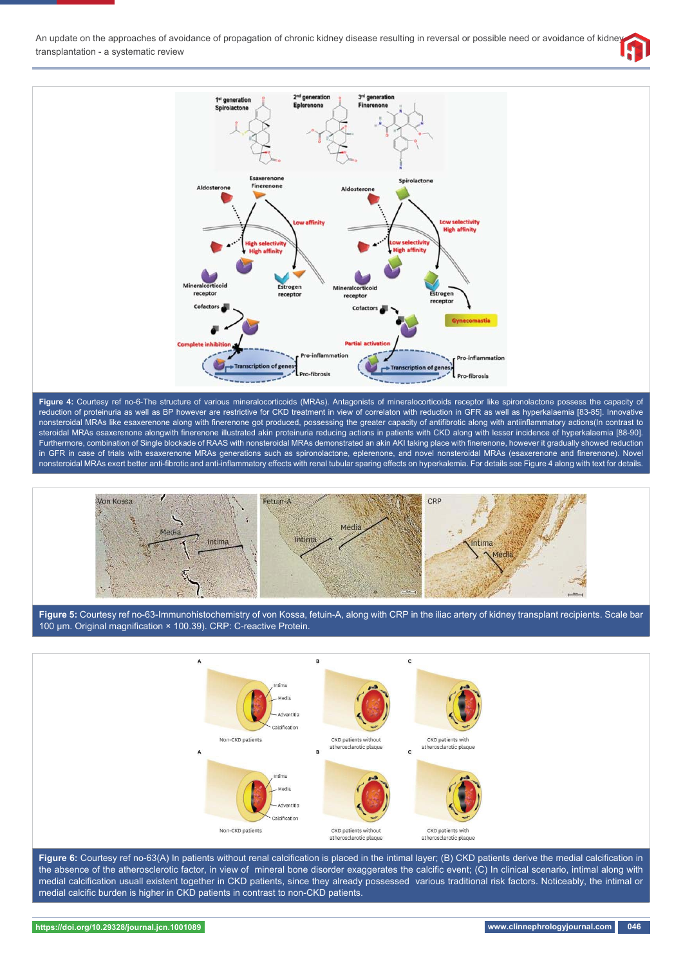



Figure 4: Courtesy ref no-6-The structure of various mineralocorticoids (MRAs). Antagonists of mineralocorticoids receptor like spironolactone possess the capacity of reduction of proteinuria as well as BP however are restrictive for CKD treatment in view of correlaton with reduction in GFR as well as hyperkalaemia [83-85]. Innovative nonsteroidal MRAs like esaxerenone along with finerenone got produced, possessing the greater capacity of antifibrotic along with antiinflammatory actions(In contrast to steroidal MRAs esaxerenone alongwith finerenone illustrated akin proteinuria reducing actions in patients with CKD along with lesser incidence of hyperkalaemia [88-90]. Furthermore, combination of Single blockade of RAAS with nonsteroidal MRAs demonstrated an akin AKI taking place with finerenone, however it gradually showed reduction in GFR in case of trials with esaxerenone MRAs generations such as spironolactone, eplerenone, and novel nonsteroidal MRAs (esaxerenone and finerenone). Novel nonsteroidal MRAs exert better anti-fibrotic and anti-inflammatory effects with renal tubular sparing effects on hyperkalemia. For details see Figure 4 along with text for details.



**Figure 5:** Courtesy ref no-63-Immunohistochemistry of von Kossa, fetuin-A, along with CRP in the iliac artery of kidney transplant recipients. Scale bar 100 μm. Original magnification × 100.39). CRP: C-reactive Protein.



Figure 6: Courtesy ref no-63(A) In patients without renal calcification is placed in the intimal layer; (B) CKD patients derive the medial calcification in the absence of the atherosclerotic factor, in view of mineral bone disorder exaggerates the calcific event; (C) In clinical scenario, intimal along with medial calcification usuall existent together in CKD patients, since they already possessed various traditional risk factors. Noticeably, the intimal or medial calcific burden is higher in CKD patients in contrast to non-CKD patients.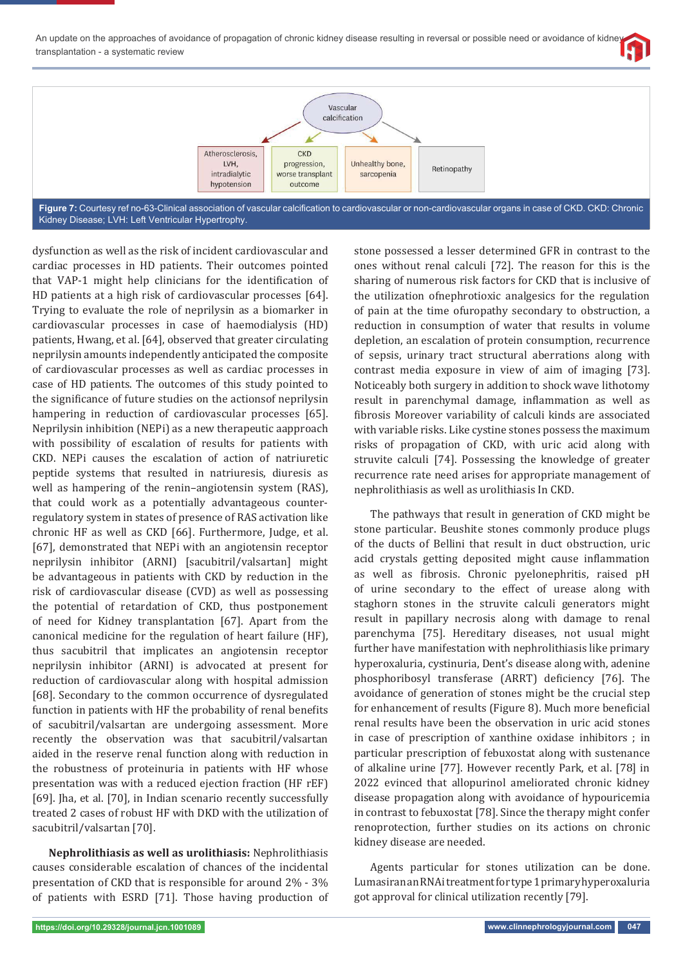



Kidney Disease; LVH: Left Ventricular Hypertrophy.

dysfunction as well as the risk of incident cardiovascular and cardiac processes in HD patients. Their outcomes pointed that VAP-1 might help clinicians for the identification of HD patients at a high risk of cardiovascular processes [64]. Trying to evaluate the role of neprilysin as a biomarker in cardiovascular processes in case of haemodialysis (HD) patients, Hwang, et al. [64], observed that greater circulating neprilysin amounts independently anticipated the composite of cardiovascular processes as well as cardiac processes in case of HD patients. The outcomes of this study pointed to the significance of future studies on the actions of neprilysin hampering in reduction of cardiovascular processes [65]. Neprilysin inhibition (NEPi) as a new therapeutic aapproach with possibility of escalation of results for patients with CKD. NEPi causes the escalation of action of natriuretic peptide systems that resulted in natriuresis, diuresis as well as hampering of the renin–angiotensin system (RAS), that could work as a potentially advantageous counterregulatory system in states of presence of RAS activation like chronic HF as well as CKD [66]. Furthermore, Judge, et al. [67], demonstrated that NEPi with an angiotensin receptor neprilysin inhibitor (ARNI) [sacubitril/valsartan] might be advantageous in patients with CKD by reduction in the risk of cardiovascular disease (CVD) as well as possessing the potential of retardation of CKD, thus postponement of need for Kidney transplantation [67]. Apart from the canonical medicine for the regulation of heart failure (HF), thus sacubitril that implicates an angiotensin receptor neprilysin inhibitor (ARNI) is advocated at present for reduction of cardiovascular along with hospital admission [68]. Secondary to the common occurrence of dysregulated function in patients with HF the probability of renal benefits of sacubitril/valsartan are undergoing assessment. More recently the observation was that sacubitril/valsartan aided in the reserve renal function along with reduction in the robustness of proteinuria in patients with HF whose presentation was with a reduced ejection fraction (HF rEF) [69]. Jha, et al. [70], in Indian scenario recently successfully treated 2 cases of robust HF with DKD with the utilization of sacubitril/valsartan [70].

**Nephrolithiasis as well as urolithiasis:** Nephrolithiasis causes considerable escalation of chances of the incidental presentation of CKD that is responsible for around 2% - 3% of patients with ESRD [71]. Those having production of stone possessed a lesser determined GFR in contrast to the ones without renal calculi [72]. The reason for this is the sharing of numerous risk factors for CKD that is inclusive of the utilization ofnephrotioxic analgesics for the regulation of pain at the time ofuropathy secondary to obstruction, a reduction in consumption of water that results in volume depletion, an escalation of protein consumption, recurrence of sepsis, urinary tract structural aberrations along with contrast media exposure in view of aim of imaging [73]. Noticeably both surgery in addition to shock wave lithotomy result in parenchymal damage, inflammation as well as fibrosis Moreover variability of calculi kinds are associated with variable risks. Like cystine stones possess the maximum risks of propagation of CKD, with uric acid along with struvite calculi [74]. Possessing the knowledge of greater recurrence rate need arises for appropriate management of nephrolithiasis as well as urolithiasis In CKD.

The pathways that result in generation of CKD might be stone particular. Beushite stones commonly produce plugs of the ducts of Bellini that result in duct obstruction, uric acid crystals getting deposited might cause inflammation as well as fibrosis. Chronic pyelonephritis, raised pH of urine secondary to the effect of urease along with staghorn stones in the struvite calculi generators might result in papillary necrosis along with damage to renal parenchyma [75]. Hereditary diseases, not usual might further have manifestation with nephrolithiasis like primary hyperoxaluria, cystinuria, Dent's disease along with, adenine phosphoribosyl transferase (ARRT) deficiency [76]. The avoidance of generation of stones might be the crucial step for enhancement of results (Figure 8). Much more beneficial renal results have been the observation in uric acid stones in case of prescription of xanthine oxidase inhibitors ; in particular prescription of febuxostat along with sustenance of alkaline urine [77]. However recently Park, et al. [78] in 2022 evinced that allopurinol ameliorated chronic kidney disease propagation along with avoidance of hypouricemia in contrast to febuxostat [78]. Since the therapy might confer renoprotection, further studies on its actions on chronic kidney disease are needed.

Agents particular for stones utilization can be done. Lumasiran an RNAi treatment for type 1 primary hyperoxaluria got approval for clinical utilization recently [79].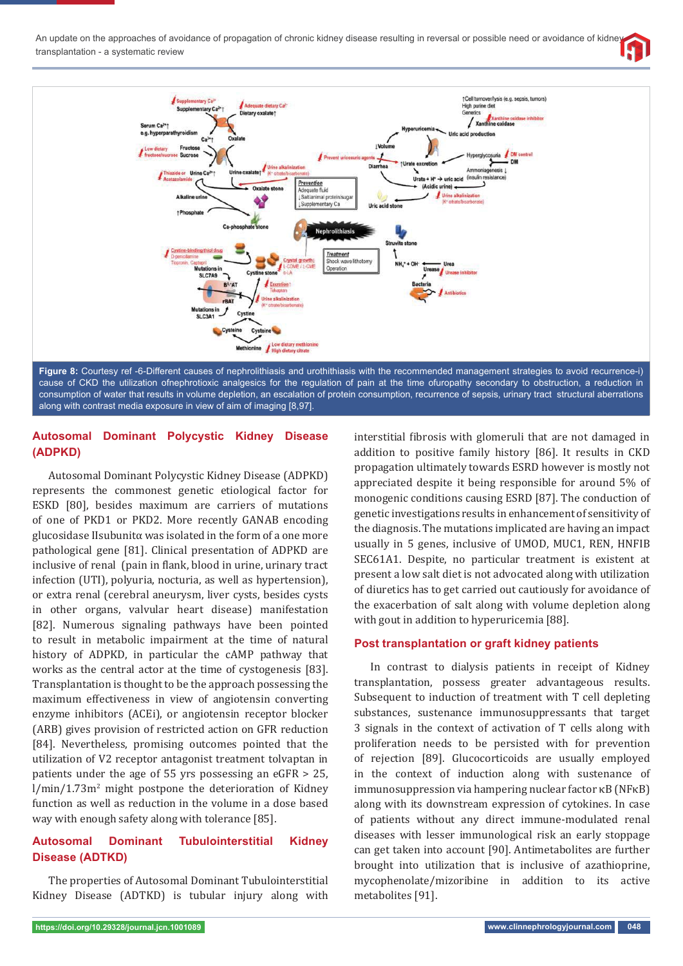



along with contrast media exposure in view of aim of imaging [8,97].

# **Autosomal Dominant Polycystic Kidney Disease (ADPKD)**

Autosomal Dominant Polycystic Kidney Disease (ADPKD) represents the commonest genetic etiological factor for ESKD [80], besides maximum are carriers of mutations of one of PKD1 or PKD2. More recently GANAB encoding glucosidase IIsubunitα was isolated in the form of a one more pathological gene [81]. Clinical presentation of ADPKD are inclusive of renal (pain in flank, blood in urine, urinary tract infection (UTI), polyuria, nocturia, as well as hypertension), or extra renal (cerebral aneurysm, liver cysts, besides cysts in other organs, valvular heart disease) manifestation [82]. Numerous signaling pathways have been pointed to result in metabolic impairment at the time of natural history of ADPKD, in particular the cAMP pathway that works as the central actor at the time of cystogenesis [83]. Transplantation is thought to be the approach possessing the maximum effectiveness in view of angiotensin converting enzyme inhibitors (ACEi), or angiotensin receptor blocker (ARB) gives provision of restricted action on GFR reduction [84]. Nevertheless, promising outcomes pointed that the utilization of V2 receptor antagonist treatment tolvaptan in patients under the age of 55 yrs possessing an eGFR > 25, l/min/1.73m<sup>2</sup> might postpone the deterioration of Kidney function as well as reduction in the volume in a dose based way with enough safety along with tolerance [85].

# **Autosomal Dominant Tubulointerstitial Kidney Disease (ADTKD)**

The properties of Autosomal Dominant Tubulointerstitial Kidney Disease (ADTKD) is tubular injury along with

interstitial fibrosis with glomeruli that are not damaged in addition to positive family history [86]. It results in CKD propagation ultimately towards ESRD however is mostly not appreciated despite it being responsible for around 5% of monogenic conditions causing ESRD [87]. The conduction of genetic investigations results in enhancement of sensitivity of the diagnosis. The mutations implicated are having an impact usually in 5 genes, inclusive of UMOD, MUC1, REN, HNFIB SEC61A1. Despite, no particular treatment is existent at present a low salt diet is not advocated along with utilization of diuretics has to get carried out cautiously for avoidance of the exacerbation of salt along with volume depletion along with gout in addition to hyperuricemia [88].

# **Post transplantation or graft kidney patients**

In contrast to dialysis patients in receipt of Kidney transplantation, possess greater advantageous results. Subsequent to induction of treatment with T cell depleting substances, sustenance immunosuppressants that target 3 signals in the context of activation of T cells along with proliferation needs to be persisted with for prevention of rejection [89]. Glucocorticoids are usually employed in the context of induction along with sustenance of immunosuppression via hampering nuclear factor κB (NFκB) along with its downstream expression of cytokines. In case of patients without any direct immune-modulated renal diseases with lesser immunological risk an early stoppage can get taken into account [90]. Antimetabolites are further brought into utilization that is inclusive of azathioprine, mycophenolate/mizoribine in addition to its active metabolites [91].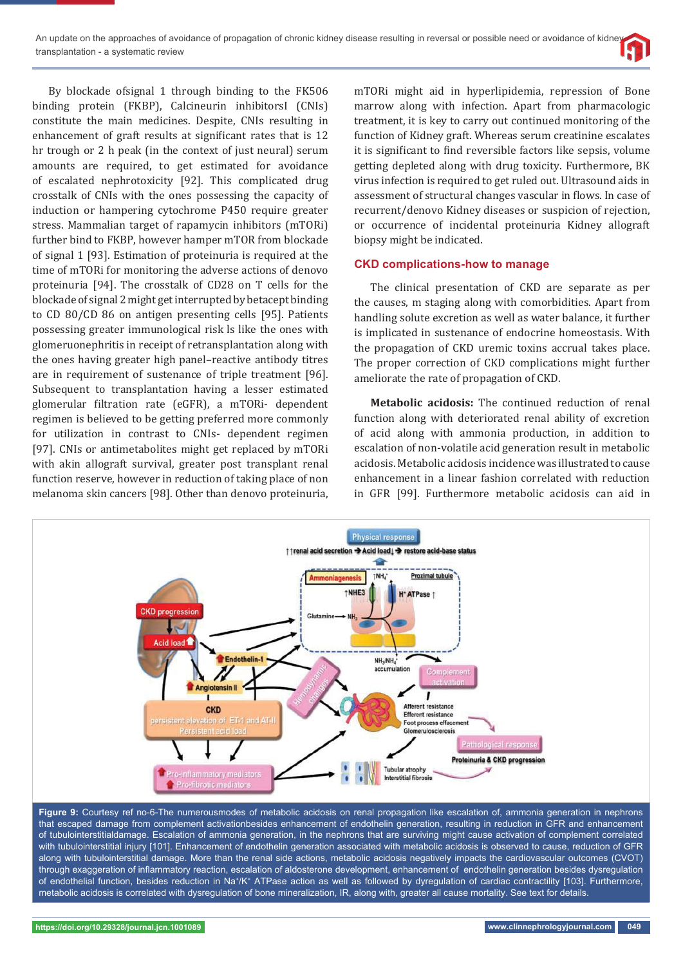By blockade ofsignal 1 through binding to the FK506 binding protein (FKBP), Calcineurin inhibitorsI (CNIs) constitute the main medicines. Despite, CNIs resulting in enhancement of graft results at significant rates that is 12 hr trough or 2 h peak (in the context of just neural) serum amounts are required, to get estimated for avoidance of escalated nephrotoxicity [92]. This complicated drug crosstalk of CNIs with the ones possessing the capacity of induction or hampering cytochrome P450 require greater stress. Mammalian target of rapamycin inhibitors (mTORi) further bind to FKBP, however hamper mTOR from blockade of signal 1 [93]. Estimation of proteinuria is required at the time of mTORi for monitoring the adverse actions of denovo proteinuria [94]. The crosstalk of CD28 on T cells for the blockade of signal 2 might get interrupted by betacept binding to CD 80/CD 86 on antigen presenting cells [95]. Patients possessing greater immunological risk ls like the ones with glomeruonephritis in receipt of retransplantation along with the ones having greater high panel–reactive antibody titres are in requirement of sustenance of triple treatment [96]. Subsequent to transplantation having a lesser estimated glomerular filtration rate (eGFR), a mTORi- dependent regimen is believed to be getting preferred more commonly for utilization in contrast to CNIs- dependent regimen [97]. CNIs or antimetabolites might get replaced by mTORi with akin allograft survival, greater post transplant renal function reserve, however in reduction of taking place of non melanoma skin cancers [98]. Other than denovo proteinuria,

mTORi might aid in hyperlipidemia, repression of Bone marrow along with infection. Apart from pharmacologic treatment, it is key to carry out continued monitoring of the function of Kidney graft. Whereas serum creatinine escalates it is significant to find reversible factors like sepsis, volume getting depleted along with drug toxicity. Furthermore, BK virus infection is required to get ruled out. Ultrasound aids in assessment of structural changes vascular in flows. In case of recurrent/denovo Kidney diseases or suspicion of rejection, or occurrence of incidental proteinuria Kidney allograft biopsy might be indicated.

### **CKD complications-how to manage**

The clinical presentation of CKD are separate as per the causes, m staging along with comorbidities. Apart from handling solute excretion as well as water balance, it further is implicated in sustenance of endocrine homeostasis. With the propagation of CKD uremic toxins accrual takes place. The proper correction of CKD complications might further ameliorate the rate of propagation of CKD.

**Metabolic acidosis:** The continued reduction of renal function along with deteriorated renal ability of excretion of acid along with ammonia production, in addition to escalation of non-volatile acid generation result in metabolic acidosis. Metabolic acidosis incidence was illustrated to cause enhancement in a linear fashion correlated with reduction in GFR [99]. Furthermore metabolic acidosis can aid in



**Figure 9:** Courtesy ref no-6-The numerousmodes of metabolic acidosis on renal propagation like escalation of, ammonia generation in nephrons that escaped damage from complement activationbesides enhancement of endothelin generation, resulting in reduction in GFR and enhancement of tubulointerstitialdamage. Escalation of ammonia generation, in the nephrons that are surviving might cause activation of complement correlated with tubulointerstitial injury [101]. Enhancement of endothelin generation associated with metabolic acidosis is observed to cause, reduction of GFR along with tubulointerstitial damage. More than the renal side actions, metabolic acidosis negatively impacts the cardiovascular outcomes (CVOT) through exaggeration of inflammatory reaction, escalation of aldosterone development, enhancement of endothelin generation besides dysregulation of endothelial function, besides reduction in Na+/K+ ATPase action as well as followed by dyregulation of cardiac contractility [103]. Furthermore, metabolic acidosis is correlated with dysregulation of bone mineralization, IR, along with, greater all cause mortality. See text for details.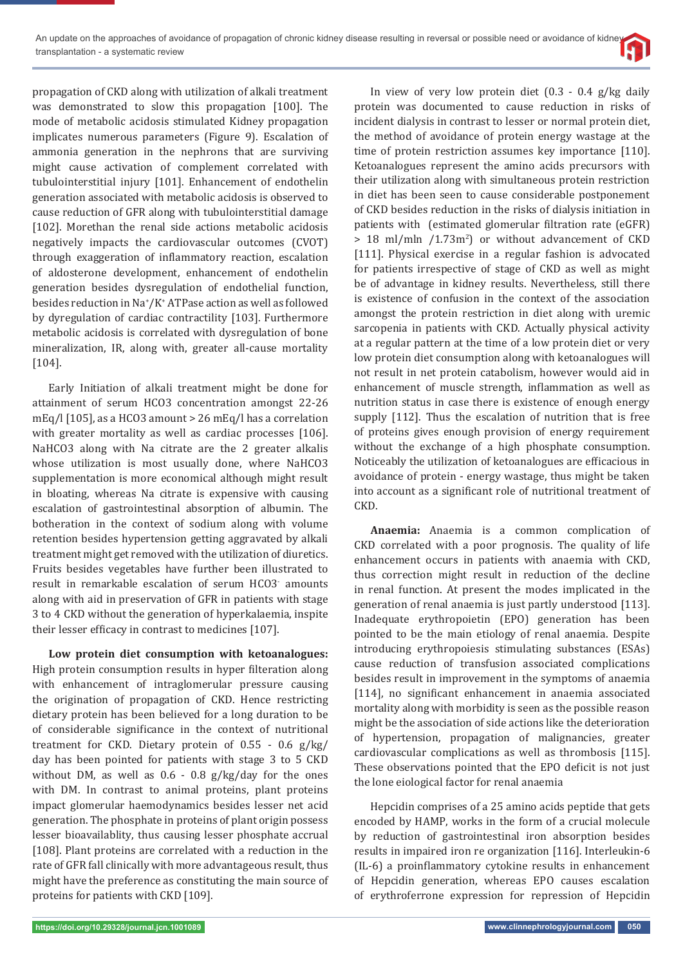propagation of CKD along with utilization of alkali treatment was demonstrated to slow this propagation [100]. The mode of metabolic acidosis stimulated Kidney propagation implicates numerous parameters (Figure 9). Escalation of ammonia generation in the nephrons that are surviving might cause activation of complement correlated with tubulointerstitial injury [101]. Enhancement of endothelin generation associated with metabolic acidosis is observed to cause reduction of GFR along with tubulointerstitial damage [102]. Morethan the renal side actions metabolic acidosis negatively impacts the cardiovascular outcomes (CVOT) through exaggeration of inflammatory reaction, escalation of aldosterone development, enhancement of endothelin generation besides dysregulation of endothelial function, besides reduction in Na+ /K+ ATPase action as well as followed by dyregulation of cardiac contractility [103]. Furthermore metabolic acidosis is correlated with dysregulation of bone mineralization, IR, along with, greater all-cause mortality [104].

Early Initiation of alkali treatment might be done for attainment of serum HCO3 concentration amongst 22-26 mEq/l [105], as a HCO3 amount > 26 mEq/l has a correlation with greater mortality as well as cardiac processes [106]. NaHCO3 along with Na citrate are the 2 greater alkalis whose utilization is most usually done, where NaHCO3 supplementation is more economical although might result in bloating, whereas Na citrate is expensive with causing escalation of gastrointestinal absorption of albumin. The botheration in the context of sodium along with volume retention besides hypertension getting aggravated by alkali treatment might get removed with the utilization of diuretics. Fruits besides vegetables have further been illustrated to result in remarkable escalation of serum HCO3- amounts along with aid in preservation of GFR in patients with stage 3 to 4 CKD without the generation of hyperkalaemia, inspite their lesser efficacy in contrast to medicines [107].

**Low protein diet consumption with ketoanalogues:**  High protein consumption results in hyper filteration along with enhancement of intraglomerular pressure causing the origination of propagation of CKD. Hence restricting dietary protein has been believed for a long duration to be of considerable significance in the context of nutritional treatment for CKD. Dietary protein of 0.55 - 0.6 g/kg/ day has been pointed for patients with stage 3 to 5 CKD without DM, as well as 0.6 - 0.8 g/kg/day for the ones with DM. In contrast to animal proteins, plant proteins impact glomerular haemodynamics besides lesser net acid generation. The phosphate in proteins of plant origin possess lesser bioavailablity, thus causing lesser phosphate accrual [108]. Plant proteins are correlated with a reduction in the rate of GFR fall clinically with more advantageous result, thus might have the preference as constituting the main source of proteins for patients with CKD [109].

In view of very low protein diet (0.3 - 0.4 g/kg daily protein was documented to cause reduction in risks of incident dialysis in contrast to lesser or normal protein diet, the method of avoidance of protein energy wastage at the time of protein restriction assumes key importance [110]. Ketoanalogues represent the amino acids precursors with their utilization along with simultaneous protein restriction in diet has been seen to cause considerable postponement of CKD besides reduction in the risks of dialysis initiation in patients with (estimated glomerular filtration rate (eGFR)  $> 18$  ml/mln  $/1.73m<sup>2</sup>$  or without advancement of CKD [111]. Physical exercise in a regular fashion is advocated for patients irrespective of stage of CKD as well as might be of advantage in kidney results. Nevertheless, still there is existence of confusion in the context of the association amongst the protein restriction in diet along with uremic sarcopenia in patients with CKD. Actually physical activity at a regular pattern at the time of a low protein diet or very low protein diet consumption along with ketoanalogues will not result in net protein catabolism, however would aid in enhancement of muscle strength, inflammation as well as nutrition status in case there is existence of enough energy supply [112]. Thus the escalation of nutrition that is free of proteins gives enough provision of energy requirement without the exchange of a high phosphate consumption. Noticeably the utilization of ketoanalogues are efficacious in avoidance of protein - energy wastage, thus might be taken into account as a significant role of nutritional treatment of CKD.

**Anaemia:** Anaemia is a common complication of CKD correlated with a poor prognosis. The quality of life enhancement occurs in patients with anaemia with CKD, thus correction might result in reduction of the decline in renal function. At present the modes implicated in the generation of renal anaemia is just partly understood [113]. Inadequate erythropoietin (EPO) generation has been pointed to be the main etiology of renal anaemia. Despite introducing erythropoiesis stimulating substances (ESAs) cause reduction of transfusion associated complications besides result in improvement in the symptoms of anaemia [114], no significant enhancement in anaemia associated mortality along with morbidity is seen as the possible reason might be the association of side actions like the deterioration of hypertension, propagation of malignancies, greater cardiovascular complications as well as thrombosis [115]. These observations pointed that the EPO deficit is not just the lone eiological factor for renal anaemia

Hepcidin comprises of a 25 amino acids peptide that gets encoded by HAMP, works in the form of a crucial molecule by reduction of gastrointestinal iron absorption besides results in impaired iron re organization [116]. Interleukin-6 (IL-6) a proinflammatory cytokine results in enhancement of Hepcidin generation, whereas EPO causes escalation of erythroferrone expression for repression of Hepcidin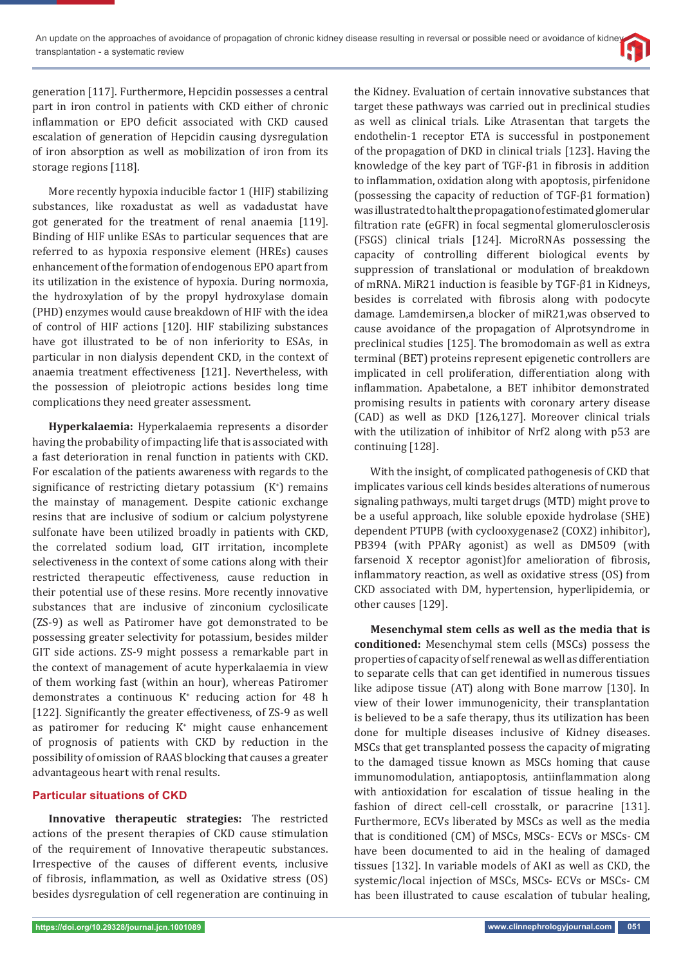generation [117]. Furthermore, Hepcidin possesses a central part in iron control in patients with CKD either of chronic inflammation or EPO deficit associated with CKD caused escalation of generation of Hepcidin causing dysregulation of iron absorption as well as mobilization of iron from its storage regions [118].

More recently hypoxia inducible factor 1 (HIF) stabilizing substances, like roxadustat as well as vadadustat have got generated for the treatment of renal anaemia [119]. Binding of HIF unlike ESAs to particular sequences that are referred to as hypoxia responsive element (HREs) causes enhancement of the formation of endogenous EPO apart from its utilization in the existence of hypoxia. During normoxia, the hydroxylation of by the propyl hydroxylase domain (PHD) enzymes would cause breakdown of HIF with the idea of control of HIF actions [120]. HIF stabilizing substances have got illustrated to be of non inferiority to ESAs, in particular in non dialysis dependent CKD, in the context of anaemia treatment effectiveness [121]. Nevertheless, with the possession of pleiotropic actions besides long time complications they need greater assessment.

**Hyperkalaemia:** Hyperkalaemia represents a disorder having the probability of impacting life that is associated with a fast deterioration in renal function in patients with CKD. For escalation of the patients awareness with regards to the significance of restricting dietary potassium  $(K^+)$  remains the mainstay of management. Despite cationic exchange resins that are inclusive of sodium or calcium polystyrene sulfonate have been utilized broadly in patients with CKD, the correlated sodium load, GIT irritation, incomplete selectiveness in the context of some cations along with their restricted therapeutic effectiveness, cause reduction in their potential use of these resins. More recently innovative substances that are inclusive of zinconium cyclosilicate (ZS-9) as well as Patiromer have got demonstrated to be possessing greater selectivity for potassium, besides milder GIT side actions. ZS-9 might possess a remarkable part in the context of management of acute hyperkalaemia in view of them working fast (within an hour), whereas Patiromer demonstrates a continuous K+ reducing action for 48 h [122]. Significantly the greater effectiveness, of ZS-9 as well as patiromer for reducing  $K^+$  might cause enhancement of prognosis of patients with CKD by reduction in the possibility of omission of RAAS blocking that causes a greater advantageous heart with renal results.

### **Particular situations of CKD**

**Innovative therapeutic strategies:** The restricted actions of the present therapies of CKD cause stimulation of the requirement of Innovative therapeutic substances. Irrespective of the causes of different events, inclusive of fibrosis, inflammation, as well as Oxidative stress (OS) besides dysregulation of cell regeneration are continuing in

the Kidney. Evaluation of certain innovative substances that target these pathways was carried out in preclinical studies as well as clinical trials. Like Atrasentan that targets the endothelin-1 receptor ETA is successful in postponement of the propagation of DKD in clinical trials [123]. Having the knowledge of the key part of  $TGF- $\beta$ 1$  in fibrosis in addition to inflammation, oxidation along with apoptosis, pirfenidone (possessing the capacity of reduction of TGF-β1 formation) was illustrated to halt the propagation of estimated glomerular filtration rate (eGFR) in focal segmental glomerulosclerosis (FSGS) clinical trials [124]. MicroRNAs possessing the capacity of controlling different biological events by suppression of translational or modulation of breakdown of mRNA. MiR21 induction is feasible by TGF-β1 in Kidneys, besides is correlated with fibrosis along with podocyte damage. Lamdemirsen,a blocker of miR21,was observed to cause avoidance of the propagation of Alprotsyndrome in preclinical studies [125]. The bromodomain as well as extra terminal (BET) proteins represent epigenetic controllers are implicated in cell proliferation, differentiation along with inflammation. Apabetalone, a BET inhibitor demonstrated promising results in patients with coronary artery disease (CAD) as well as DKD [126,127]. Moreover clinical trials with the utilization of inhibitor of Nrf2 along with p53 are continuing [128].

With the insight, of complicated pathogenesis of CKD that implicates various cell kinds besides alterations of numerous signaling pathways, multi target drugs (MTD) might prove to be a useful approach, like soluble epoxide hydrolase (SHE) dependent PTUPB (with cyclooxygenase2 (COX2) inhibitor), PB394 (with PPARγ agonist) as well as DM509 (with farsenoid X receptor agonist)for amelioration of fibrosis, inflammatory reaction, as well as oxidative stress (OS) from CKD associated with DM, hypertension, hyperlipidemia, or other causes [129].

**Mesenchymal stem cells as well as the media that is conditioned:** Mesenchymal stem cells (MSCs) possess the properties of capacity of self renewal as well as differentiation to separate cells that can get identified in numerous tissues like adipose tissue (AT) along with Bone marrow [130]. In view of their lower immunogenicity, their transplantation is believed to be a safe therapy, thus its utilization has been done for multiple diseases inclusive of Kidney diseases. MSCs that get transplanted possess the capacity of migrating to the damaged tissue known as MSCs homing that cause immunomodulation, antiapoptosis, antiinflammation along with antioxidation for escalation of tissue healing in the fashion of direct cell-cell crosstalk, or paracrine [131]. Furthermore, ECVs liberated by MSCs as well as the media that is conditioned (CM) of MSCs, MSCs- ECVs or MSCs- CM have been documented to aid in the healing of damaged tissues [132]. In variable models of AKI as well as CKD, the systemic/local injection of MSCs, MSCs- ECVs or MSCs- CM has been illustrated to cause escalation of tubular healing,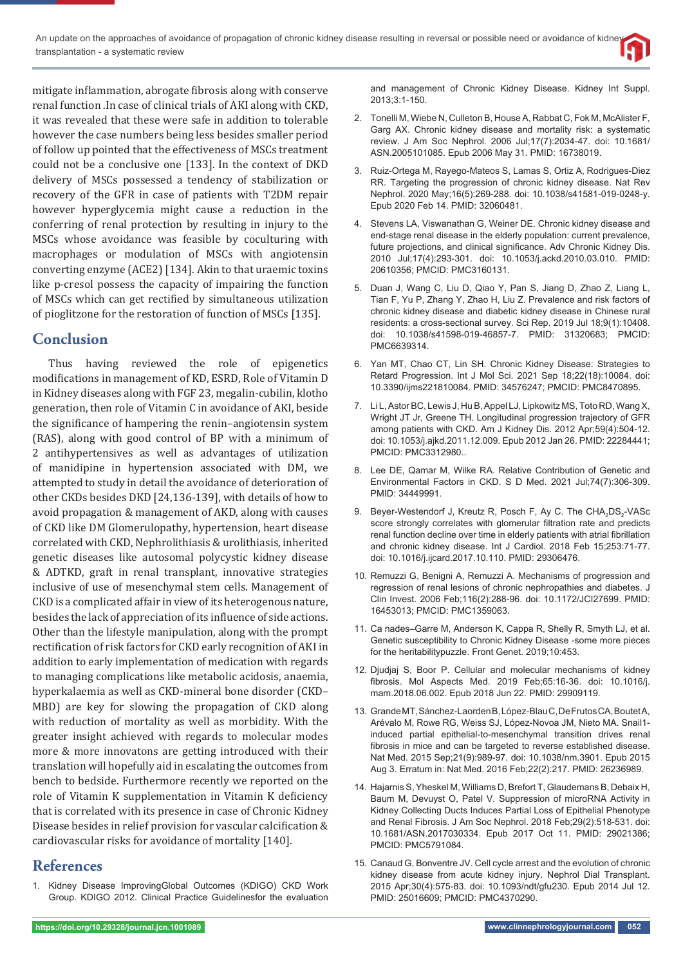mitigate inflammation, abrogate fibrosis along with conserve renal function .In case of clinical trials of AKI along with CKD, it was revealed that these were safe in addition to tolerable however the case numbers being less besides smaller period of follow up pointed that the effectiveness of MSCs treatment could not be a conclusive one [133]. In the context of DKD delivery of MSCs possessed a tendency of stabilization or recovery of the GFR in case of patients with T2DM repair however hyperglycemia might cause a reduction in the conferring of renal protection by resulting in injury to the MSCs whose avoidance was feasible by coculturing with macrophages or modulation of MSCs with angiotensin converting enzyme (ACE2) [134]. Akin to that uraemic toxins like p-cresol possess the capacity of impairing the function of MSCs which can get rectified by simultaneous utilization of pioglitzone for the restoration of function of MSCs [135].

# **Conclusion**

Thus having reviewed the role of epigenetics modifications in management of KD, ESRD, Role of Vitamin D in Kidney diseases along with FGF 23, megalin-cubilin, klotho generation, then role of Vitamin C in avoidance of AKI, beside the significance of hampering the renin–angiotensin system (RAS), along with good control of BP with a minimum of 2 antihypertensives as well as advantages of utilization of manidipine in hypertension associated with DM, we attempted to study in detail the avoidance of deterioration of other CKDs besides DKD [24,136-139], with details of how to avoid propagation & management of AKD, along with causes of CKD like DM Glomerulopathy, hypertension, heart disease correlated with CKD, Nephrolithiasis & urolithiasis, inherited genetic diseases like autosomal polycystic kidney disease & ADTKD, graft in renal transplant, innovative strategies inclusive of use of mesenchymal stem cells. Management of CKD is a complicated affair in view of its heterogenous nature, besides the lack of appreciation of its influence of side actions. Other than the lifestyle manipulation, along with the prompt rectification of risk factors for CKD early recognition of AKI in addition to early implementation of medication with regards to managing complications like metabolic acidosis, anaemia, hyperkalaemia as well as CKD-mineral bone disorder (CKD– MBD) are key for slowing the propagation of CKD along with reduction of mortality as well as morbidity. With the greater insight achieved with regards to molecular modes more & more innovatons are getting introduced with their translation will hopefully aid in escalating the outcomes from bench to bedside. Furthermore recently we reported on the role of Vitamin K supplementation in Vitamin K deficiency that is correlated with its presence in case of Chronic Kidney Disease besides in relief provision for vascular calcification  $&$ cardiovascular risks for avoidance of mortality [140].

# **References**

1. Kidney Disease ImprovingGlobal Outcomes (KDIGO) CKD Work Group. KDIGO 2012. Clinical Practice Guidelinesfor the evaluation and management of Chronic Kidney Disease. Kidney Int Suppl. 2013;3:1-150.

- 2. Tonelli M, Wiebe N, Culleton B, House A, Rabbat C, Fok M, McAlister F, Garg AX. Chronic kidney disease and mortality risk: a systematic review. J Am Soc Nephrol. 2006 Jul;17(7):2034-47. doi: 10.1681/ ASN.2005101085. Epub 2006 May 31. PMID: 16738019.
- 3. Ruiz-Ortega M, Rayego-Mateos S, Lamas S, Ortiz A, Rodrigues-Diez RR. Targeting the progression of chronic kidney disease. Nat Rev Nephrol. 2020 May;16(5):269-288. doi: 10.1038/s41581-019-0248-y. Epub 2020 Feb 14. PMID: 32060481.
- 4. Stevens LA, Viswanathan G, Weiner DE. Chronic kidney disease and end-stage renal disease in the elderly population: current prevalence, future projections, and clinical significance. Adv Chronic Kidney Dis. 2010 Jul;17(4):293-301. doi: 10.1053/j.ackd.2010.03.010. PMID: 20610356; PMCID: PMC3160131.
- 5. Duan J, Wang C, Liu D, Qiao Y, Pan S, Jiang D, Zhao Z, Liang L, Tian F, Yu P, Zhang Y, Zhao H, Liu Z. Prevalence and risk factors of chronic kidney disease and diabetic kidney disease in Chinese rural residents: a cross-sectional survey. Sci Rep. 2019 Jul 18;9(1):10408. doi: 10.1038/s41598-019-46857-7. PMID: 31320683; PMCID: PMC6639314.
- 6. Yan MT, Chao CT, Lin SH. Chronic Kidney Disease: Strategies to Retard Progression. Int J Mol Sci. 2021 Sep 18;22(18):10084. doi: 10.3390/ijms221810084. PMID: 34576247; PMCID: PMC8470895.
- 7. Li L, Astor BC, Lewis J, Hu B, Appel LJ, Lipkowitz MS, Toto RD, Wang X, Wright JT Jr, Greene TH. Longitudinal progression trajectory of GFR among patients with CKD. Am J Kidney Dis. 2012 Apr;59(4):504-12. doi: 10.1053/j.ajkd.2011.12.009. Epub 2012 Jan 26. PMID: 22284441; PMCID: PMC3312980..
- 8. Lee DE, Qamar M, Wilke RA. Relative Contribution of Genetic and Environmental Factors in CKD. S D Med. 2021 Jul;74(7):306-309. PMID: 34449991.
- 9. Beyer-Westendorf J, Kreutz R, Posch F, Ay C. The CHA<sub>2</sub>DS<sub>2</sub>-VASc score strongly correlates with glomerular filtration rate and predicts renal function decline over time in elderly patients with atrial fibrillation and chronic kidney disease. Int J Cardiol. 2018 Feb 15;253:71-77. doi: 10.1016/j.ijcard.2017.10.110. PMID: 29306476.
- 10. Remuzzi G, Benigni A, Remuzzi A. Mechanisms of progression and regression of renal lesions of chronic nephropathies and diabetes. J Clin Invest. 2006 Feb;116(2):288-96. doi: 10.1172/JCI27699. PMID: 16453013; PMCID: PMC1359063.
- 11. Ca nades–Garre M, Anderson K, Cappa R, Shelly R, Smyth LJ, et al. Genetic susceptibility to Chronic Kidney Disease -some more pieces for the heritabilitypuzzle. Front Genet. 2019;10:453.
- 12. Djudjaj S, Boor P. Cellular and molecular mechanisms of kidney fibrosis. Mol Aspects Med. 2019 Feb;65:16-36. doi: 10.1016/j. mam.2018.06.002. Epub 2018 Jun 22. PMID: 29909119.
- 13. Grande MT, Sánchez-Laorden B, López-Blau C, De Frutos CA, Boutet A, Arévalo M, Rowe RG, Weiss SJ, López-Novoa JM, Nieto MA. Snail1 induced partial epithelial-to-mesenchymal transition drives renal fibrosis in mice and can be targeted to reverse established disease. Nat Med. 2015 Sep;21(9):989-97. doi: 10.1038/nm.3901. Epub 2015 Aug 3. Erratum in: Nat Med. 2016 Feb;22(2):217. PMID: 26236989.
- 14. Hajarnis S, Yheskel M, Williams D, Brefort T, Glaudemans B, Debaix H, Baum M, Devuyst O, Patel V. Suppression of microRNA Activity in Kidney Collecting Ducts Induces Partial Loss of Epithelial Phenotype and Renal Fibrosis. J Am Soc Nephrol. 2018 Feb;29(2):518-531. doi: 10.1681/ASN.2017030334. Epub 2017 Oct 11. PMID: 29021386; PMCID: PMC5791084.
- 15. Canaud G, Bonventre JV. Cell cycle arrest and the evolution of chronic kidney disease from acute kidney injury. Nephrol Dial Transplant. 2015 Apr;30(4):575-83. doi: 10.1093/ndt/gfu230. Epub 2014 Jul 12. PMID: 25016609; PMCID: PMC4370290.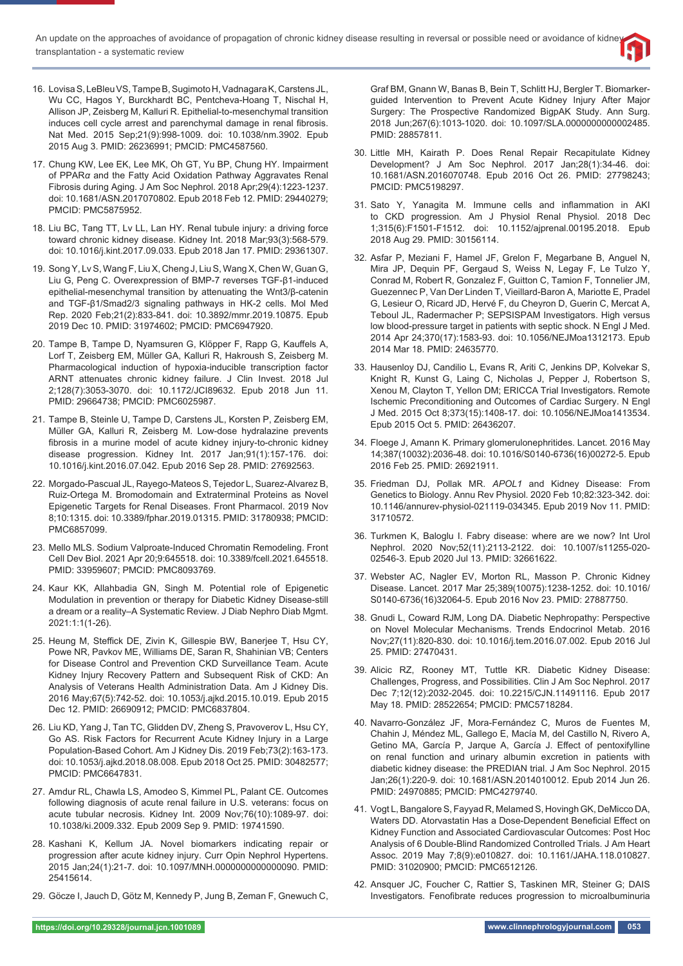- 16. Lovisa S, LeBleu VS, Tampe B, Sugimoto H, Vadnagara K, Carstens JL, Wu CC, Hagos Y, Burckhardt BC, Pentcheva-Hoang T, Nischal H, Allison JP, Zeisberg M, Kalluri R. Epithelial-to-mesenchymal transition induces cell cycle arrest and parenchymal damage in renal fibrosis. Nat Med. 2015 Sep;21(9):998-1009. doi: 10.1038/nm.3902. Epub 2015 Aug 3. PMID: 26236991; PMCID: PMC4587560.
- 17. Chung KW, Lee EK, Lee MK, Oh GT, Yu BP, Chung HY. Impairment of PPAR*α* and the Fatty Acid Oxidation Pathway Aggravates Renal Fibrosis during Aging. J Am Soc Nephrol. 2018 Apr;29(4):1223-1237. doi: 10.1681/ASN.2017070802. Epub 2018 Feb 12. PMID: 29440279; PMCID: PMC5875952.
- 18. Liu BC, Tang TT, Lv LL, Lan HY. Renal tubule injury: a driving force toward chronic kidney disease. Kidney Int. 2018 Mar;93(3):568-579. doi: 10.1016/j.kint.2017.09.033. Epub 2018 Jan 17. PMID: 29361307.
- 19. Song Y, Lv S, Wang F, Liu X, Cheng J, Liu S, Wang X, Chen W, Guan G, Liu G, Peng C. Overexpression of BMP-7 reverses TGF-β1-induced epithelial-mesenchymal transition by attenuating the Wnt3/β-catenin and TGF-β1/Smad2/3 signaling pathways in HK-2 cells. Mol Med Rep. 2020 Feb;21(2):833-841. doi: 10.3892/mmr.2019.10875. Epub 2019 Dec 10. PMID: 31974602; PMCID: PMC6947920.
- 20. Tampe B, Tampe D, Nyamsuren G, Klöpper F, Rapp G, Kauffels A, Lorf T, Zeisberg EM, Müller GA, Kalluri R, Hakroush S, Zeisberg M. Pharmacological induction of hypoxia-inducible transcription factor ARNT attenuates chronic kidney failure. J Clin Invest. 2018 Jul 2;128(7):3053-3070. doi: 10.1172/JCI89632. Epub 2018 Jun 11. PMID: 29664738; PMCID: PMC6025987.
- 21. Tampe B, Steinle U, Tampe D, Carstens JL, Korsten P, Zeisberg EM, Müller GA, Kalluri R, Zeisberg M. Low-dose hydralazine prevents fibrosis in a murine model of acute kidney injury-to-chronic kidney disease progression. Kidney Int. 2017 Jan;91(1):157-176. doi: 10.1016/j.kint.2016.07.042. Epub 2016 Sep 28. PMID: 27692563.
- 22. Morgado-Pascual JL, Rayego-Mateos S, Tejedor L, Suarez-Alvarez B, Ruiz-Ortega M. Bromodomain and Extraterminal Proteins as Novel Epigenetic Targets for Renal Diseases. Front Pharmacol. 2019 Nov 8;10:1315. doi: 10.3389/fphar.2019.01315. PMID: 31780938; PMCID: PMC6857099.
- 23. Mello MLS. Sodium Valproate-Induced Chromatin Remodeling. Front Cell Dev Biol. 2021 Apr 20;9:645518. doi: 10.3389/fcell.2021.645518. PMID: 33959607; PMCID: PMC8093769.
- 24. Kaur KK, Allahbadia GN, Singh M. Potential role of Epigenetic Modulation in prevention or therapy for Diabetic Kidney Disease-still a dream or a reality–A Systematic Review. J Diab Nephro Diab Mgmt. 2021:1:1(1-26).
- 25. Heung M, Steffick DE, Zivin K, Gillespie BW, Banerjee T, Hsu CY, Powe NR, Pavkov ME, Williams DE, Saran R, Shahinian VB; Centers for Disease Control and Prevention CKD Surveillance Team. Acute Kidney Injury Recovery Pattern and Subsequent Risk of CKD: An Analysis of Veterans Health Administration Data. Am J Kidney Dis. 2016 May;67(5):742-52. doi: 10.1053/j.ajkd.2015.10.019. Epub 2015 Dec 12. PMID: 26690912; PMCID: PMC6837804.
- 26. Liu KD, Yang J, Tan TC, Glidden DV, Zheng S, Pravoverov L, Hsu CY, Go AS. Risk Factors for Recurrent Acute Kidney Injury in a Large Population-Based Cohort. Am J Kidney Dis. 2019 Feb;73(2):163-173. doi: 10.1053/j.ajkd.2018.08.008. Epub 2018 Oct 25. PMID: 30482577; PMCID: PMC6647831.
- 27. Amdur RL, Chawla LS, Amodeo S, Kimmel PL, Palant CE. Outcomes following diagnosis of acute renal failure in U.S. veterans: focus on acute tubular necrosis. Kidney Int. 2009 Nov;76(10):1089-97. doi: 10.1038/ki.2009.332. Epub 2009 Sep 9. PMID: 19741590.
- 28. Kashani K, Kellum JA. Novel biomarkers indicating repair or progression after acute kidney injury. Curr Opin Nephrol Hypertens. 2015 Jan;24(1):21-7. doi: 10.1097/MNH.0000000000000090. PMID: 25415614.
- 29. Göcze I, Jauch D, Götz M, Kennedy P, Jung B, Zeman F, Gnewuch C,

Graf BM, Gnann W, Banas B, Bein T, Schlitt HJ, Bergler T. Biomarkerguided Intervention to Prevent Acute Kidney Injury After Major Surgery: The Prospective Randomized BigpAK Study. Ann Surg. 2018 Jun;267(6):1013-1020. doi: 10.1097/SLA.0000000000002485. PMID: 28857811.

- 30. Little MH, Kairath P. Does Renal Repair Recapitulate Kidney Development? J Am Soc Nephrol. 2017 Jan;28(1):34-46. doi: 10.1681/ASN.2016070748. Epub 2016 Oct 26. PMID: 27798243; PMCID: PMC5198297.
- 31. Sato Y, Yanagita M. Immune cells and inflammation in AKI to CKD progression. Am J Physiol Renal Physiol. 2018 Dec 1;315(6):F1501-F1512. doi: 10.1152/ajprenal.00195.2018. Epub 2018 Aug 29. PMID: 30156114.
- 32. Asfar P, Meziani F, Hamel JF, Grelon F, Megarbane B, Anguel N, Mira JP, Dequin PF, Gergaud S, Weiss N, Legay F, Le Tulzo Y, Conrad M, Robert R, Gonzalez F, Guitton C, Tamion F, Tonnelier JM, Guezennec P, Van Der Linden T, Vieillard-Baron A, Mariotte E, Pradel G, Lesieur O, Ricard JD, Hervé F, du Cheyron D, Guerin C, Mercat A, Teboul JL, Radermacher P; SEPSISPAM Investigators. High versus low blood-pressure target in patients with septic shock. N Engl J Med. 2014 Apr 24;370(17):1583-93. doi: 10.1056/NEJMoa1312173. Epub 2014 Mar 18. PMID: 24635770.
- 33. Hausenloy DJ, Candilio L, Evans R, Ariti C, Jenkins DP, Kolvekar S, Knight R, Kunst G, Laing C, Nicholas J, Pepper J, Robertson S, Xenou M, Clayton T, Yellon DM; ERICCA Trial Investigators. Remote Ischemic Preconditioning and Outcomes of Cardiac Surgery. N Engl J Med. 2015 Oct 8;373(15):1408-17. doi: 10.1056/NEJMoa1413534. Epub 2015 Oct 5. PMID: 26436207.
- 34. Floege J, Amann K. Primary glomerulonephritides. Lancet. 2016 May 14;387(10032):2036-48. doi: 10.1016/S0140-6736(16)00272-5. Epub 2016 Feb 25. PMID: 26921911.
- 35. Friedman DJ, Pollak MR. *APOL1* and Kidney Disease: From Genetics to Biology. Annu Rev Physiol. 2020 Feb 10;82:323-342. doi: 10.1146/annurev-physiol-021119-034345. Epub 2019 Nov 11. PMID: 31710572.
- 36. Turkmen K, Baloglu I. Fabry disease: where are we now? Int Urol Nephrol. 2020 Nov;52(11):2113-2122. doi: 10.1007/s11255-020- 02546-3. Epub 2020 Jul 13. PMID: 32661622.
- 37. Webster AC, Nagler EV, Morton RL, Masson P. Chronic Kidney Disease. Lancet. 2017 Mar 25;389(10075):1238-1252. doi: 10.1016/ S0140-6736(16)32064-5. Epub 2016 Nov 23. PMID: 27887750.
- 38. Gnudi L, Coward RJM, Long DA. Diabetic Nephropathy: Perspective on Novel Molecular Mechanisms. Trends Endocrinol Metab. 2016 Nov;27(11):820-830. doi: 10.1016/j.tem.2016.07.002. Epub 2016 Jul 25. PMID: 27470431.
- 39. Alicic RZ, Rooney MT, Tuttle KR. Diabetic Kidney Disease: Challenges, Progress, and Possibilities. Clin J Am Soc Nephrol. 2017 Dec 7;12(12):2032-2045. doi: 10.2215/CJN.11491116. Epub 2017 May 18. PMID: 28522654; PMCID: PMC5718284.
- 40. Navarro-González JF, Mora-Fernández C, Muros de Fuentes M, Chahin J, Méndez ML, Gallego E, Macía M, del Castillo N, Rivero A, Getino MA, García P, Jarque A, García J. Effect of pentoxifylline on renal function and urinary albumin excretion in patients with diabetic kidney disease: the PREDIAN trial. J Am Soc Nephrol. 2015 Jan;26(1):220-9. doi: 10.1681/ASN.2014010012. Epub 2014 Jun 26. PMID: 24970885; PMCID: PMC4279740.
- 41. Vogt L, Bangalore S, Fayyad R, Melamed S, Hovingh GK, DeMicco DA, Waters DD. Atorvastatin Has a Dose-Dependent Beneficial Effect on Kidney Function and Associated Cardiovascular Outcomes: Post Hoc Analysis of 6 Double-Blind Randomized Controlled Trials. J Am Heart Assoc. 2019 May 7;8(9):e010827. doi: 10.1161/JAHA.118.010827. PMID: 31020900; PMCID: PMC6512126.
- 42. Ansquer JC, Foucher C, Rattier S, Taskinen MR, Steiner G; DAIS Investigators. Fenofibrate reduces progression to microalbuminuria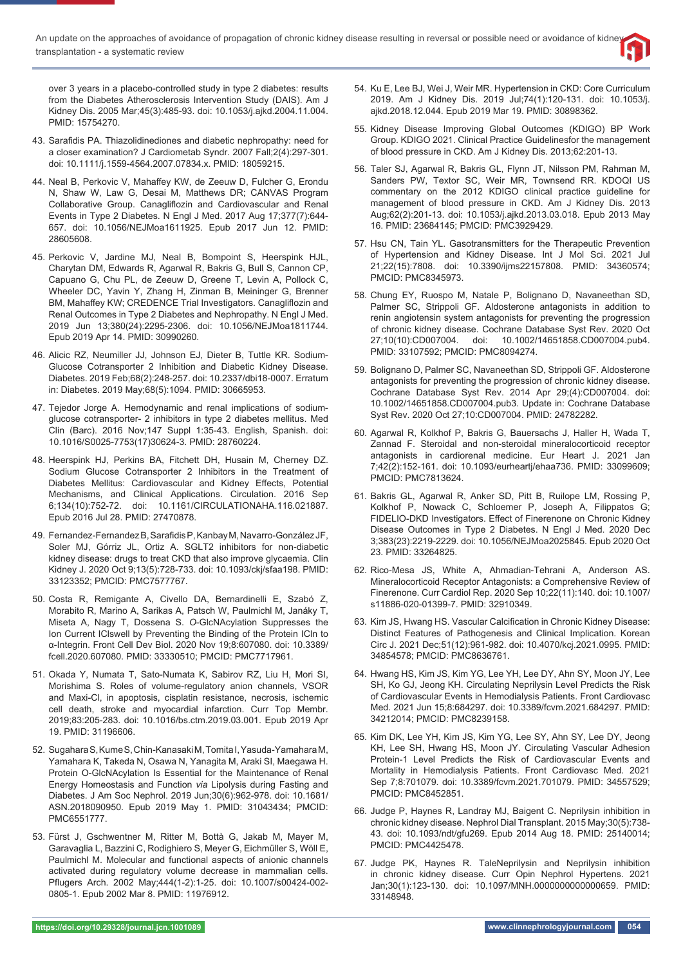over 3 years in a placebo-controlled study in type 2 diabetes: results from the Diabetes Atherosclerosis Intervention Study (DAIS). Am J Kidney Dis. 2005 Mar;45(3):485-93. doi: 10.1053/j.ajkd.2004.11.004. PMID: 15754270.

- 43. Sarafidis PA. Thiazolidinediones and diabetic nephropathy: need for a closer examination? J Cardiometab Syndr. 2007 Fall;2(4):297-301. doi: 10.1111/j.1559-4564.2007.07834.x. PMID: 18059215.
- 44. Neal B, Perkovic V, Mahaffey KW, de Zeeuw D, Fulcher G, Erondu N, Shaw W, Law G, Desai M, Matthews DR; CANVAS Program Collaborative Group. Canagliflozin and Cardiovascular and Renal Events in Type 2 Diabetes. N Engl J Med. 2017 Aug 17;377(7):644- 657. doi: 10.1056/NEJMoa1611925. Epub 2017 Jun 12. PMID: 28605608.
- 45. Perkovic V, Jardine MJ, Neal B, Bompoint S, Heerspink HJL, Charytan DM, Edwards R, Agarwal R, Bakris G, Bull S, Cannon CP, Capuano G, Chu PL, de Zeeuw D, Greene T, Levin A, Pollock C, Wheeler DC, Yavin Y, Zhang H, Zinman B, Meininger G, Brenner BM, Mahaffey KW; CREDENCE Trial Investigators. Canagliflozin and Renal Outcomes in Type 2 Diabetes and Nephropathy. N Engl J Med. 2019 Jun 13;380(24):2295-2306. doi: 10.1056/NEJMoa1811744. Epub 2019 Apr 14. PMID: 30990260.
- 46. Alicic RZ, Neumiller JJ, Johnson EJ, Dieter B, Tuttle KR. Sodium-Glucose Cotransporter 2 Inhibition and Diabetic Kidney Disease. Diabetes. 2019 Feb;68(2):248-257. doi: 10.2337/dbi18-0007. Erratum in: Diabetes. 2019 May;68(5):1094. PMID: 30665953.
- 47. Tejedor Jorge A. Hemodynamic and renal implications of sodiumglucose cotransporter- 2 inhibitors in type 2 diabetes mellitus. Med Clin (Barc). 2016 Nov;147 Suppl 1:35-43. English, Spanish. doi: 10.1016/S0025-7753(17)30624-3. PMID: 28760224.
- 48. Heerspink HJ, Perkins BA, Fitchett DH, Husain M, Cherney DZ. Sodium Glucose Cotransporter 2 Inhibitors in the Treatment of Diabetes Mellitus: Cardiovascular and Kidney Effects, Potential Mechanisms, and Clinical Applications. Circulation. 2016 Sep 6;134(10):752-72. doi: 10.1161/CIRCULATIONAHA.116.021887. Epub 2016 Jul 28. PMID: 27470878.
- 49. Fernandez-Fernandez B, Sarafidis P, Kanbay M, Navarro-González JF, Soler MJ, Górriz JL, Ortiz A. SGLT2 inhibitors for non-diabetic kidney disease: drugs to treat CKD that also improve glycaemia. Clin Kidney J. 2020 Oct 9;13(5):728-733. doi: 10.1093/ckj/sfaa198. PMID: 33123352; PMCID: PMC7577767.
- 50. Costa R, Remigante A, Civello DA, Bernardinelli E, Szabó Z, Morabito R, Marino A, Sarikas A, Patsch W, Paulmichl M, Janáky T, Miseta A, Nagy T, Dossena S. *O*-GlcNAcylation Suppresses the Ion Current IClswell by Preventing the Binding of the Protein ICln to α-Integrin. Front Cell Dev Biol. 2020 Nov 19;8:607080. doi: 10.3389/ fcell.2020.607080. PMID: 33330510; PMCID: PMC7717961.
- 51. Okada Y, Numata T, Sato-Numata K, Sabirov RZ, Liu H, Mori SI, Morishima S. Roles of volume-regulatory anion channels, VSOR and Maxi-Cl, in apoptosis, cisplatin resistance, necrosis, ischemic cell death, stroke and myocardial infarction. Curr Top Membr. 2019;83:205-283. doi: 10.1016/bs.ctm.2019.03.001. Epub 2019 Apr 19. PMID: 31196606.
- 52. Sugahara S, Kume S, Chin-Kanasaki M, Tomita I, Yasuda-Yamahara M, Yamahara K, Takeda N, Osawa N, Yanagita M, Araki SI, Maegawa H. Protein O-GlcNAcylation Is Essential for the Maintenance of Renal Energy Homeostasis and Function *via* Lipolysis during Fasting and Diabetes. J Am Soc Nephrol. 2019 Jun;30(6):962-978. doi: 10.1681/ ASN.2018090950. Epub 2019 May 1. PMID: 31043434; PMCID: PMC6551777.
- 53. Fürst J, Gschwentner M, Ritter M, Bottà G, Jakab M, Mayer M, Garavaglia L, Bazzini C, Rodighiero S, Meyer G, Eichmüller S, Wöll E, Paulmichl M. Molecular and functional aspects of anionic channels activated during regulatory volume decrease in mammalian cells. Pflugers Arch. 2002 May;444(1-2):1-25. doi: 10.1007/s00424-002-0805-1. Epub 2002 Mar 8. PMID: 11976912.
- 54. Ku E, Lee BJ, Wei J, Weir MR. Hypertension in CKD: Core Curriculum 2019. Am J Kidney Dis. 2019 Jul;74(1):120-131. doi: 10.1053/j. ajkd.2018.12.044. Epub 2019 Mar 19. PMID: 30898362.
- 55. Kidney Disease Improving Global Outcomes (KDIGO) BP Work Group. KDIGO 2021. Clinical Practice Guidelinesfor the management of blood pressure in CKD. Am J Kidney Dis. 2013;62:201-13.
- 56. Taler SJ, Agarwal R, Bakris GL, Flynn JT, Nilsson PM, Rahman M, Sanders PW, Textor SC, Weir MR, Townsend RR. KDOQI US commentary on the 2012 KDIGO clinical practice guideline for management of blood pressure in CKD. Am J Kidney Dis. 2013 Aug;62(2):201-13. doi: 10.1053/j.ajkd.2013.03.018. Epub 2013 May 16. PMID: 23684145; PMCID: PMC3929429.
- 57. Hsu CN, Tain YL. Gasotransmitters for the Therapeutic Prevention of Hypertension and Kidney Disease. Int J Mol Sci. 2021 Jul 21;22(15):7808. doi: 10.3390/ijms22157808. PMID: 34360574; PMCID: PMC8345973.
- 58. Chung EY, Ruospo M, Natale P, Bolignano D, Navaneethan SD, Palmer SC, Strippoli GF. Aldosterone antagonists in addition to renin angiotensin system antagonists for preventing the progression of chronic kidney disease. Cochrane Database Syst Rev. 2020 Oct 27;10(10):CD007004. doi: 10.1002/14651858.CD007004.pub4. PMID: 33107592; PMCID: PMC8094274.
- 59. Bolignano D, Palmer SC, Navaneethan SD, Strippoli GF. Aldosterone antagonists for preventing the progression of chronic kidney disease. Cochrane Database Syst Rev. 2014 Apr 29;(4):CD007004. doi: 10.1002/14651858.CD007004.pub3. Update in: Cochrane Database Syst Rev. 2020 Oct 27;10:CD007004. PMID: 24782282.
- 60. Agarwal R, Kolkhof P, Bakris G, Bauersachs J, Haller H, Wada T, Zannad F. Steroidal and non-steroidal mineralocorticoid receptor antagonists in cardiorenal medicine. Eur Heart J. 2021 Jan 7;42(2):152-161. doi: 10.1093/eurheartj/ehaa736. PMID: 33099609; PMCID: PMC7813624.
- 61. Bakris GL, Agarwal R, Anker SD, Pitt B, Ruilope LM, Rossing P, Kolkhof P, Nowack C, Schloemer P, Joseph A, Filippatos G; FIDELIO-DKD Investigators. Effect of Finerenone on Chronic Kidney Disease Outcomes in Type 2 Diabetes. N Engl J Med. 2020 Dec 3;383(23):2219-2229. doi: 10.1056/NEJMoa2025845. Epub 2020 Oct 23. PMID: 33264825.
- 62. Rico-Mesa JS, White A, Ahmadian-Tehrani A, Anderson AS. Mineralocorticoid Receptor Antagonists: a Comprehensive Review of Finerenone. Curr Cardiol Rep. 2020 Sep 10;22(11):140. doi: 10.1007/ s11886-020-01399-7. PMID: 32910349.
- 63. Kim JS, Hwang HS. Vascular Calcification in Chronic Kidney Disease: Distinct Features of Pathogenesis and Clinical Implication. Korean Circ J. 2021 Dec;51(12):961-982. doi: 10.4070/kcj.2021.0995. PMID: 34854578; PMCID: PMC8636761.
- 64. Hwang HS, Kim JS, Kim YG, Lee YH, Lee DY, Ahn SY, Moon JY, Lee SH, Ko GJ, Jeong KH. Circulating Neprilysin Level Predicts the Risk of Cardiovascular Events in Hemodialysis Patients. Front Cardiovasc Med. 2021 Jun 15;8:684297. doi: 10.3389/fcvm.2021.684297. PMID: 34212014; PMCID: PMC8239158.
- 65. Kim DK, Lee YH, Kim JS, Kim YG, Lee SY, Ahn SY, Lee DY, Jeong KH, Lee SH, Hwang HS, Moon JY. Circulating Vascular Adhesion Protein-1 Level Predicts the Risk of Cardiovascular Events and Mortality in Hemodialysis Patients. Front Cardiovasc Med. 2021 Sep 7;8:701079. doi: 10.3389/fcvm.2021.701079. PMID: 34557529; PMCID: PMC8452851.
- 66. Judge P, Haynes R, Landray MJ, Baigent C. Neprilysin inhibition in chronic kidney disease. Nephrol Dial Transplant. 2015 May;30(5):738- 43. doi: 10.1093/ndt/gfu269. Epub 2014 Aug 18. PMID: 25140014; PMCID: PMC4425478.
- 67. Judge PK, Haynes R. TaleNeprilysin and Neprilysin inhibition in chronic kidney disease. Curr Opin Nephrol Hypertens. 2021 Jan;30(1):123-130. doi: 10.1097/MNH.0000000000000659. PMID: 33148948.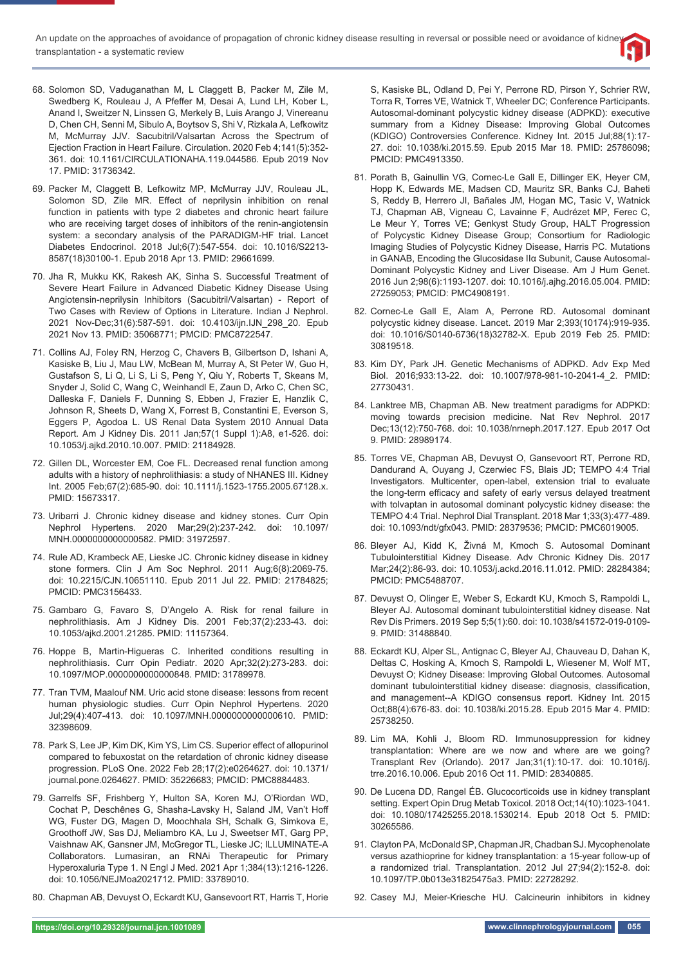- 68. Solomon SD, Vaduganathan M, L Claggett B, Packer M, Zile M, Swedberg K, Rouleau J, A Pfeffer M, Desai A, Lund LH, Kober L, Anand I, Sweitzer N, Linssen G, Merkely B, Luis Arango J, Vinereanu D, Chen CH, Senni M, Sibulo A, Boytsov S, Shi V, Rizkala A, Lefkowitz M, McMurray JJV. Sacubitril/Valsartan Across the Spectrum of Ejection Fraction in Heart Failure. Circulation. 2020 Feb 4;141(5):352- 361. doi: 10.1161/CIRCULATIONAHA.119.044586. Epub 2019 Nov 17. PMID: 31736342.
- 69. Packer M, Claggett B, Lefkowitz MP, McMurray JJV, Rouleau JL, Solomon SD, Zile MR. Effect of neprilysin inhibition on renal function in patients with type 2 diabetes and chronic heart failure who are receiving target doses of inhibitors of the renin-angiotensin system: a secondary analysis of the PARADIGM-HF trial. Lancet Diabetes Endocrinol. 2018 Jul;6(7):547-554. doi: 10.1016/S2213- 8587(18)30100-1. Epub 2018 Apr 13. PMID: 29661699.
- 70. Jha R, Mukku KK, Rakesh AK, Sinha S. Successful Treatment of Severe Heart Failure in Advanced Diabetic Kidney Disease Using Angiotensin-neprilysin Inhibitors (Sacubitril/Valsartan) - Report of Two Cases with Review of Options in Literature. Indian J Nephrol. 2021 Nov-Dec;31(6):587-591. doi: 10.4103/ijn.IJN\_298\_20. Epub 2021 Nov 13. PMID: 35068771; PMCID: PMC8722547.
- 71. Collins AJ, Foley RN, Herzog C, Chavers B, Gilbertson D, Ishani A, Kasiske B, Liu J, Mau LW, McBean M, Murray A, St Peter W, Guo H, Gustafson S, Li Q, Li S, Li S, Peng Y, Qiu Y, Roberts T, Skeans M, Snyder J, Solid C, Wang C, Weinhandl E, Zaun D, Arko C, Chen SC, Dalleska F, Daniels F, Dunning S, Ebben J, Frazier E, Hanzlik C, Johnson R, Sheets D, Wang X, Forrest B, Constantini E, Everson S, Eggers P, Agodoa L. US Renal Data System 2010 Annual Data Report. Am J Kidney Dis. 2011 Jan;57(1 Suppl 1):A8, e1-526. doi: 10.1053/j.ajkd.2010.10.007. PMID: 21184928.
- 72. Gillen DL, Worcester EM, Coe FL. Decreased renal function among adults with a history of nephrolithiasis: a study of NHANES III. Kidney Int. 2005 Feb;67(2):685-90. doi: 10.1111/j.1523-1755.2005.67128.x. PMID: 15673317.
- 73. Uribarri J. Chronic kidney disease and kidney stones. Curr Opin Nephrol Hypertens. 2020 Mar;29(2):237-242. doi: 10.1097/ MNH.0000000000000582. PMID: 31972597.
- 74. Rule AD, Krambeck AE, Lieske JC. Chronic kidney disease in kidney stone formers. Clin J Am Soc Nephrol. 2011 Aug;6(8):2069-75. doi: 10.2215/CJN.10651110. Epub 2011 Jul 22. PMID: 21784825; PMCID: PMC3156433.
- 75. Gambaro G, Favaro S, D'Angelo A. Risk for renal failure in nephrolithiasis. Am J Kidney Dis. 2001 Feb;37(2):233-43. doi: 10.1053/ajkd.2001.21285. PMID: 11157364.
- 76. Hoppe B, Martin-Higueras C. Inherited conditions resulting in nephrolithiasis. Curr Opin Pediatr. 2020 Apr;32(2):273-283. doi: 10.1097/MOP.0000000000000848. PMID: 31789978.
- 77. Tran TVM, Maalouf NM. Uric acid stone disease: lessons from recent human physiologic studies. Curr Opin Nephrol Hypertens. 2020 Jul;29(4):407-413. doi: 10.1097/MNH.0000000000000610. PMID: 32398609.
- 78. Park S, Lee JP, Kim DK, Kim YS, Lim CS. Superior effect of allopurinol compared to febuxostat on the retardation of chronic kidney disease progression. PLoS One. 2022 Feb 28;17(2):e0264627. doi: 10.1371/ journal.pone.0264627. PMID: 35226683; PMCID: PMC8884483.
- 79. Garrelfs SF, Frishberg Y, Hulton SA, Koren MJ, O'Riordan WD, Cochat P, Deschênes G, Shasha-Lavsky H, Saland JM, Van't Hoff WG, Fuster DG, Magen D, Moochhala SH, Schalk G, Simkova E, Groothoff JW, Sas DJ, Meliambro KA, Lu J, Sweetser MT, Garg PP, Vaishnaw AK, Gansner JM, McGregor TL, Lieske JC; ILLUMINATE-A Collaborators. Lumasiran, an RNAi Therapeutic for Primary Hyperoxaluria Type 1. N Engl J Med. 2021 Apr 1;384(13):1216-1226. doi: 10.1056/NEJMoa2021712. PMID: 33789010.
- 80. Chapman AB, Devuyst O, Eckardt KU, Gansevoort RT, Harris T, Horie

S, Kasiske BL, Odland D, Pei Y, Perrone RD, Pirson Y, Schrier RW, Torra R, Torres VE, Watnick T, Wheeler DC; Conference Participants. Autosomal-dominant polycystic kidney disease (ADPKD): executive summary from a Kidney Disease: Improving Global Outcomes (KDIGO) Controversies Conference. Kidney Int. 2015 Jul;88(1):17- 27. doi: 10.1038/ki.2015.59. Epub 2015 Mar 18. PMID: 25786098; PMCID: PMC4913350.

- 81. Porath B, Gainullin VG, Cornec-Le Gall E, Dillinger EK, Heyer CM, Hopp K, Edwards ME, Madsen CD, Mauritz SR, Banks CJ, Baheti S, Reddy B, Herrero JI, Bañales JM, Hogan MC, Tasic V, Watnick TJ, Chapman AB, Vigneau C, Lavainne F, Audrézet MP, Ferec C, Le Meur Y, Torres VE; Genkyst Study Group, HALT Progression of Polycystic Kidney Disease Group; Consortium for Radiologic Imaging Studies of Polycystic Kidney Disease, Harris PC. Mutations in GANAB, Encoding the Glucosidase IIα Subunit, Cause Autosomal-Dominant Polycystic Kidney and Liver Disease. Am J Hum Genet. 2016 Jun 2;98(6):1193-1207. doi: 10.1016/j.ajhg.2016.05.004. PMID: 27259053; PMCID: PMC4908191.
- 82. Cornec-Le Gall E, Alam A, Perrone RD. Autosomal dominant polycystic kidney disease. Lancet. 2019 Mar 2;393(10174):919-935. doi: 10.1016/S0140-6736(18)32782-X. Epub 2019 Feb 25. PMID: 30819518.
- 83. Kim DY, Park JH. Genetic Mechanisms of ADPKD. Adv Exp Med Biol. 2016;933:13-22. doi: 10.1007/978-981-10-2041-4\_2. PMID: 27730431.
- 84. Lanktree MB, Chapman AB. New treatment paradigms for ADPKD: moving towards precision medicine. Nat Rev Nephrol. 2017 Dec;13(12):750-768. doi: 10.1038/nrneph.2017.127. Epub 2017 Oct 9. PMID: 28989174.
- 85. Torres VE, Chapman AB, Devuyst O, Gansevoort RT, Perrone RD, Dandurand A, Ouyang J, Czerwiec FS, Blais JD; TEMPO 4:4 Trial Investigators. Multicenter, open-label, extension trial to evaluate the long-term efficacy and safety of early versus delayed treatment with tolvaptan in autosomal dominant polycystic kidney disease: the TEMPO 4:4 Trial. Nephrol Dial Transplant. 2018 Mar 1;33(3):477-489. doi: 10.1093/ndt/gfx043. PMID: 28379536; PMCID: PMC6019005.
- 86. Bleyer AJ, Kidd K, Živná M, Kmoch S. Autosomal Dominant Tubulointerstitial Kidney Disease. Adv Chronic Kidney Dis. 2017 Mar;24(2):86-93. doi: 10.1053/j.ackd.2016.11.012. PMID: 28284384; PMCID: PMC5488707.
- 87. Devuyst O, Olinger E, Weber S, Eckardt KU, Kmoch S, Rampoldi L, Bleyer AJ. Autosomal dominant tubulointerstitial kidney disease. Nat Rev Dis Primers. 2019 Sep 5;5(1):60. doi: 10.1038/s41572-019-0109- 9. PMID: 31488840.
- 88. Eckardt KU, Alper SL, Antignac C, Bleyer AJ, Chauveau D, Dahan K, Deltas C, Hosking A, Kmoch S, Rampoldi L, Wiesener M, Wolf MT, Devuyst O; Kidney Disease: Improving Global Outcomes. Autosomal dominant tubulointerstitial kidney disease: diagnosis, classification, and management--A KDIGO consensus report. Kidney Int. 2015 Oct;88(4):676-83. doi: 10.1038/ki.2015.28. Epub 2015 Mar 4. PMID: 25738250.
- 89. Lim MA, Kohli J, Bloom RD. Immunosuppression for kidney transplantation: Where are we now and where are we going? Transplant Rev (Orlando). 2017 Jan;31(1):10-17. doi: 10.1016/j. trre.2016.10.006. Epub 2016 Oct 11. PMID: 28340885.
- 90. De Lucena DD, Rangel ÉB. Glucocorticoids use in kidney transplant setting. Expert Opin Drug Metab Toxicol. 2018 Oct;14(10):1023-1041. doi: 10.1080/17425255.2018.1530214. Epub 2018 Oct 5. PMID: 30265586.
- 91. Clayton PA, McDonald SP, Chapman JR, Chadban SJ. Mycophenolate versus azathioprine for kidney transplantation: a 15-year follow-up of a randomized trial. Transplantation. 2012 Jul 27;94(2):152-8. doi: 10.1097/TP.0b013e31825475a3. PMID: 22728292.
- 92. Casey MJ, Meier-Kriesche HU. Calcineurin inhibitors in kidney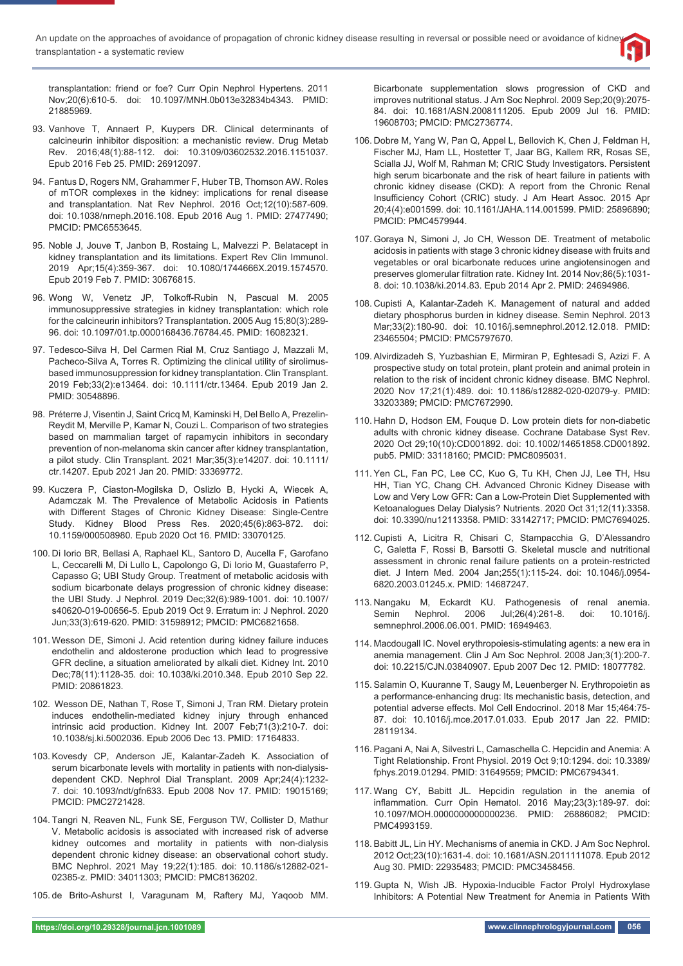transplantation: friend or foe? Curr Opin Nephrol Hypertens. 2011 Nov;20(6):610-5. doi: 10.1097/MNH.0b013e32834b4343. PMID: 21885969.

- 93. Vanhove T, Annaert P, Kuypers DR. Clinical determinants of calcineurin inhibitor disposition: a mechanistic review. Drug Metab Rev. 2016;48(1):88-112. doi: 10.3109/03602532.2016.1151037. Epub 2016 Feb 25. PMID: 26912097.
- 94. Fantus D, Rogers NM, Grahammer F, Huber TB, Thomson AW. Roles of mTOR complexes in the kidney: implications for renal disease and transplantation. Nat Rev Nephrol. 2016 Oct;12(10):587-609. doi: 10.1038/nrneph.2016.108. Epub 2016 Aug 1. PMID: 27477490; PMCID: PMC6553645.
- 95. Noble J, Jouve T, Janbon B, Rostaing L, Malvezzi P. Belatacept in kidney transplantation and its limitations. Expert Rev Clin Immunol. 2019 Apr;15(4):359-367. doi: 10.1080/1744666X.2019.1574570. Epub 2019 Feb 7. PMID: 30676815.
- 96. Wong W, Venetz JP, Tolkoff-Rubin N, Pascual M. 2005 immunosuppressive strategies in kidney transplantation: which role for the calcineurin inhibitors? Transplantation. 2005 Aug 15;80(3):289- 96. doi: 10.1097/01.tp.0000168436.76784.45. PMID: 16082321.
- 97. Tedesco-Silva H, Del Carmen Rial M, Cruz Santiago J, Mazzali M, Pacheco-Silva A, Torres R. Optimizing the clinical utility of sirolimusbased immunosuppression for kidney transplantation. Clin Transplant. 2019 Feb;33(2):e13464. doi: 10.1111/ctr.13464. Epub 2019 Jan 2. PMID: 30548896.
- 98. Préterre J, Visentin J, Saint Cricq M, Kaminski H, Del Bello A, Prezelin-Reydit M, Merville P, Kamar N, Couzi L. Comparison of two strategies based on mammalian target of rapamycin inhibitors in secondary prevention of non-melanoma skin cancer after kidney transplantation, a pilot study. Clin Transplant. 2021 Mar;35(3):e14207. doi: 10.1111/ ctr.14207. Epub 2021 Jan 20. PMID: 33369772.
- 99. Kuczera P, Ciaston-Mogilska D, Oslizlo B, Hycki A, Wiecek A, Adamczak M. The Prevalence of Metabolic Acidosis in Patients with Different Stages of Chronic Kidney Disease: Single-Centre Study. Kidney Blood Press Res. 2020;45(6):863-872. doi: 10.1159/000508980. Epub 2020 Oct 16. PMID: 33070125.
- 100. Di Iorio BR, Bellasi A, Raphael KL, Santoro D, Aucella F, Garofano L, Ceccarelli M, Di Lullo L, Capolongo G, Di Iorio M, Guastaferro P, Capasso G; UBI Study Group. Treatment of metabolic acidosis with sodium bicarbonate delays progression of chronic kidney disease: the UBI Study. J Nephrol. 2019 Dec;32(6):989-1001. doi: 10.1007/ s40620-019-00656-5. Epub 2019 Oct 9. Erratum in: J Nephrol. 2020 Jun;33(3):619-620. PMID: 31598912; PMCID: PMC6821658.
- 101. Wesson DE, Simoni J. Acid retention during kidney failure induces endothelin and aldosterone production which lead to progressive GFR decline, a situation ameliorated by alkali diet. Kidney Int. 2010 Dec;78(11):1128-35. doi: 10.1038/ki.2010.348. Epub 2010 Sep 22. PMID: 20861823.
- 102. Wesson DE, Nathan T, Rose T, Simoni J, Tran RM. Dietary protein induces endothelin-mediated kidney injury through enhanced intrinsic acid production. Kidney Int. 2007 Feb;71(3):210-7. doi: 10.1038/sj.ki.5002036. Epub 2006 Dec 13. PMID: 17164833.
- 103. Kovesdy CP, Anderson JE, Kalantar-Zadeh K. Association of serum bicarbonate levels with mortality in patients with non-dialysisdependent CKD. Nephrol Dial Transplant. 2009 Apr;24(4):1232- 7. doi: 10.1093/ndt/gfn633. Epub 2008 Nov 17. PMID: 19015169; PMCID: PMC2721428.
- 104. Tangri N, Reaven NL, Funk SE, Ferguson TW, Collister D, Mathur V. Metabolic acidosis is associated with increased risk of adverse kidney outcomes and mortality in patients with non-dialysis dependent chronic kidney disease: an observational cohort study. BMC Nephrol. 2021 May 19;22(1):185. doi: 10.1186/s12882-021- 02385-z. PMID: 34011303; PMCID: PMC8136202.
- 105. de Brito-Ashurst I, Varagunam M, Raftery MJ, Yaqoob MM.

Bicarbonate supplementation slows progression of CKD and improves nutritional status. J Am Soc Nephrol. 2009 Sep;20(9):2075- 84. doi: 10.1681/ASN.2008111205. Epub 2009 Jul 16. PMID: 19608703; PMCID: PMC2736774.

- 106. Dobre M, Yang W, Pan Q, Appel L, Bellovich K, Chen J, Feldman H, Fischer MJ, Ham LL, Hostetter T, Jaar BG, Kallem RR, Rosas SE, Scialla JJ, Wolf M, Rahman M; CRIC Study Investigators. Persistent high serum bicarbonate and the risk of heart failure in patients with chronic kidney disease (CKD): A report from the Chronic Renal Insufficiency Cohort (CRIC) study. J Am Heart Assoc. 2015 Apr 20;4(4):e001599. doi: 10.1161/JAHA.114.001599. PMID: 25896890; PMCID: PMC4579944.
- 107. Goraya N, Simoni J, Jo CH, Wesson DE. Treatment of metabolic acidosis in patients with stage 3 chronic kidney disease with fruits and vegetables or oral bicarbonate reduces urine angiotensinogen and preserves glomerular filtration rate. Kidney Int. 2014 Nov;86(5):1031-8. doi: 10.1038/ki.2014.83. Epub 2014 Apr 2. PMID: 24694986.
- 108. Cupisti A, Kalantar-Zadeh K. Management of natural and added dietary phosphorus burden in kidney disease. Semin Nephrol. 2013 Mar;33(2):180-90. doi: 10.1016/j.semnephrol.2012.12.018. PMID: 23465504; PMCID: PMC5797670.
- 109. Alvirdizadeh S, Yuzbashian E, Mirmiran P, Eghtesadi S, Azizi F. A prospective study on total protein, plant protein and animal protein in relation to the risk of incident chronic kidney disease. BMC Nephrol. 2020 Nov 17;21(1):489. doi: 10.1186/s12882-020-02079-y. PMID: 33203389; PMCID: PMC7672990.
- 110. Hahn D, Hodson EM, Fouque D. Low protein diets for non-diabetic adults with chronic kidney disease. Cochrane Database Syst Rev. 2020 Oct 29;10(10):CD001892. doi: 10.1002/14651858.CD001892. pub5. PMID: 33118160; PMCID: PMC8095031.
- 111. Yen CL, Fan PC, Lee CC, Kuo G, Tu KH, Chen JJ, Lee TH, Hsu HH, Tian YC, Chang CH. Advanced Chronic Kidney Disease with Low and Very Low GFR: Can a Low-Protein Diet Supplemented with Ketoanalogues Delay Dialysis? Nutrients. 2020 Oct 31;12(11):3358. doi: 10.3390/nu12113358. PMID: 33142717; PMCID: PMC7694025.
- 112. Cupisti A, Licitra R, Chisari C, Stampacchia G, D'Alessandro C, Galetta F, Rossi B, Barsotti G. Skeletal muscle and nutritional assessment in chronic renal failure patients on a protein-restricted diet. J Intern Med. 2004 Jan;255(1):115-24. doi: 10.1046/j.0954- 6820.2003.01245.x. PMID: 14687247.
- 113. Nangaku M, Eckardt KU. Pathogenesis of renal anemia. Semin Nephrol. 2006 Jul;26(4):261-8. doi: 10.1016/j. semnephrol.2006.06.001. PMID: 16949463.
- 114. Macdougall IC. Novel erythropoiesis-stimulating agents: a new era in anemia management. Clin J Am Soc Nephrol. 2008 Jan;3(1):200-7. doi: 10.2215/CJN.03840907. Epub 2007 Dec 12. PMID: 18077782.
- 115. Salamin O, Kuuranne T, Saugy M, Leuenberger N. Erythropoietin as a performance-enhancing drug: Its mechanistic basis, detection, and potential adverse effects. Mol Cell Endocrinol. 2018 Mar 15;464:75-87. doi: 10.1016/j.mce.2017.01.033. Epub 2017 Jan 22. PMID: 28119134.
- 116. Pagani A, Nai A, Silvestri L, Camaschella C. Hepcidin and Anemia: A Tight Relationship. Front Physiol. 2019 Oct 9;10:1294. doi: 10.3389/ fphys.2019.01294. PMID: 31649559; PMCID: PMC6794341.
- 117. Wang CY, Babitt JL. Hepcidin regulation in the anemia of inflammation. Curr Opin Hematol. 2016 May;23(3):189-97. doi: 10.1097/MOH.0000000000000236. PMID: 26886082; PMCID: PMC4993159.
- 118. Babitt JL, Lin HY. Mechanisms of anemia in CKD. J Am Soc Nephrol. 2012 Oct;23(10):1631-4. doi: 10.1681/ASN.2011111078. Epub 2012 Aug 30. PMID: 22935483; PMCID: PMC3458456.
- 119. Gupta N, Wish JB. Hypoxia-Inducible Factor Prolyl Hydroxylase Inhibitors: A Potential New Treatment for Anemia in Patients With